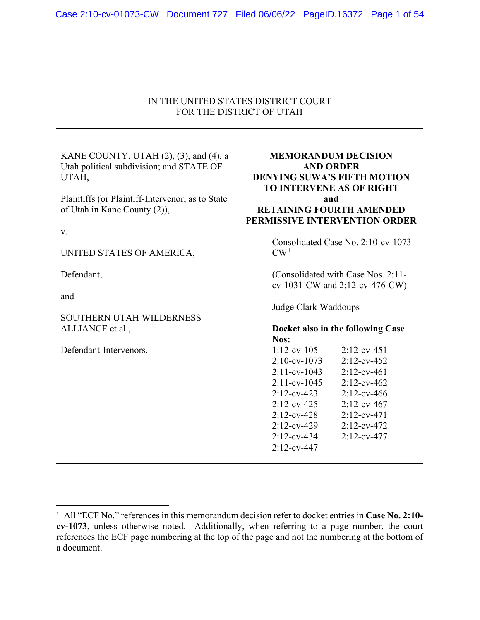| IN THE UNITED STATES DISTRICT COURT                                                                                                                                                                                |                                                                                                                                                                                                                                                                                                                                                       |
|--------------------------------------------------------------------------------------------------------------------------------------------------------------------------------------------------------------------|-------------------------------------------------------------------------------------------------------------------------------------------------------------------------------------------------------------------------------------------------------------------------------------------------------------------------------------------------------|
| FOR THE DISTRICT OF UTAH                                                                                                                                                                                           |                                                                                                                                                                                                                                                                                                                                                       |
| KANE COUNTY, UTAH (2), (3), and (4), a<br>Utah political subdivision; and STATE OF<br>UTAH,<br>Plaintiffs (or Plaintiff-Intervenor, as to State<br>of Utah in Kane County (2)),<br>V.<br>UNITED STATES OF AMERICA, | <b>MEMORANDUM DECISION</b><br><b>AND ORDER</b><br><b>DENYING SUWA'S FIFTH MOTION</b><br><b>TO INTERVENE AS OF RIGHT</b><br>and<br><b>RETAINING FOURTH AMENDED</b><br>PERMISSIVE INTERVENTION ORDER<br>Consolidated Case No. 2:10-cv-1073-<br>CW <sup>1</sup>                                                                                          |
| Defendant,                                                                                                                                                                                                         | (Consolidated with Case Nos. 2:11-                                                                                                                                                                                                                                                                                                                    |
|                                                                                                                                                                                                                    | cv-1031-CW and 2:12-cv-476-CW)                                                                                                                                                                                                                                                                                                                        |
| and<br><b>SOUTHERN UTAH WILDERNESS</b>                                                                                                                                                                             | Judge Clark Waddoups                                                                                                                                                                                                                                                                                                                                  |
| ALLIANCE et al.,                                                                                                                                                                                                   | Docket also in the following Case<br>Nos:                                                                                                                                                                                                                                                                                                             |
| Defendant-Intervenors.                                                                                                                                                                                             | $1:12$ -cv-105<br>$2:12$ -cv-451<br>$2:10$ -cv-1073<br>$2:12$ -cv-452<br>$2:11$ -cv-1043<br>$2:12$ -cv-461<br>$2:11$ -cv-1045<br>$2:12$ -cv-462<br>$2:12$ -cv-423<br>$2:12$ -cv-466<br>$2:12$ -cv-425<br>$2:12$ -cv-467<br>$2:12$ -cv-428<br>$2:12$ -cv-471<br>$2:12$ -cv-429<br>$2:12$ -cv-472<br>$2:12$ -cv-434<br>$2:12$ -cv-477<br>$2:12$ -cv-447 |

<sup>1</sup> All "ECF No." references in this memorandum decision refer to docket entries in **Case No. 2:10 cv-1073**, unless otherwise noted. Additionally, when referring to a page number, the court references the ECF page numbering at the top of the page and not the numbering at the bottom of a document.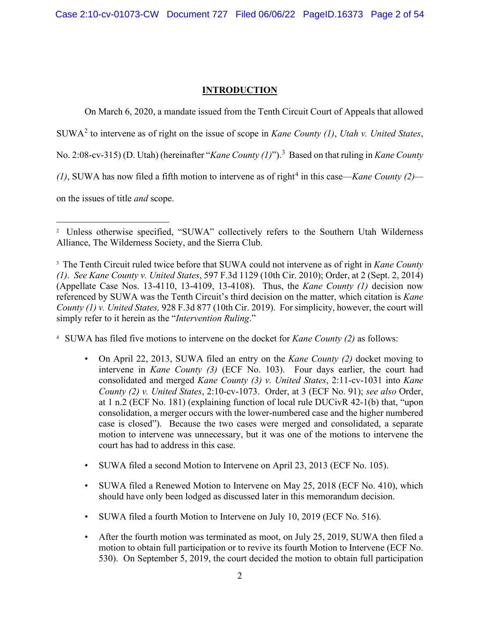# **INTRODUCTION**

On March 6, 2020, a mandate issued from the Tenth Circuit Court of Appeals that allowed

SUWA<sup>2</sup> to intervene as of right on the issue of scope in *Kane County (1)*, *Utah v. United States*,

No. 2:08-cv-315) (D. Utah) (hereinafter "*Kane County (1)*"). 3 Based on that ruling in *Kane County* 

*(1)*, SUWA has now filed a fifth motion to intervene as of right<sup>4</sup> in this case—*Kane County (2)*—

on the issues of title *and* scope.

4 SUWA has filed five motions to intervene on the docket for *Kane County (2)* as follows:

- On April 22, 2013, SUWA filed an entry on the *Kane County (2)* docket moving to intervene in *Kane County (3)* (ECF No. 103). Four days earlier, the court had consolidated and merged *Kane County (3) v. United States*, 2:11-cv-1031 into *Kane County (2) v. United States*, 2:10-cv-1073. Order, at 3 (ECF No. 91); *see also* Order, at 1 n.2 (ECF No. 181) (explaining function of local rule DUCivR 42-1(b) that, "upon consolidation, a merger occurs with the lower-numbered case and the higher numbered case is closed"). Because the two cases were merged and consolidated, a separate motion to intervene was unnecessary, but it was one of the motions to intervene the court has had to address in this case.
- SUWA filed a second Motion to Intervene on April 23, 2013 (ECF No. 105).
- SUWA filed a Renewed Motion to Intervene on May 25, 2018 (ECF No. 410), which should have only been lodged as discussed later in this memorandum decision.
- SUWA filed a fourth Motion to Intervene on July 10, 2019 (ECF No. 516).
- After the fourth motion was terminated as moot, on July 25, 2019, SUWA then filed a motion to obtain full participation or to revive its fourth Motion to Intervene (ECF No. 530). On September 5, 2019, the court decided the motion to obtain full participation

<sup>&</sup>lt;sup>2</sup> Unless otherwise specified, "SUWA" collectively refers to the Southern Utah Wilderness Alliance, The Wilderness Society, and the Sierra Club.

<sup>3</sup> The Tenth Circuit ruled twice before that SUWA could not intervene as of right in *Kane County (1)*. *See Kane County v. United States*, 597 F.3d 1129 (10th Cir. 2010); Order, at 2 (Sept. 2, 2014) (Appellate Case Nos. 13-4110, 13-4109, 13-4108). Thus, the *Kane County (1)* decision now referenced by SUWA was the Tenth Circuit's third decision on the matter, which citation is *Kane County (1) v. United States,* 928 F.3d 877 (10th Cir. 2019). For simplicity, however, the court will simply refer to it herein as the "*Intervention Ruling*."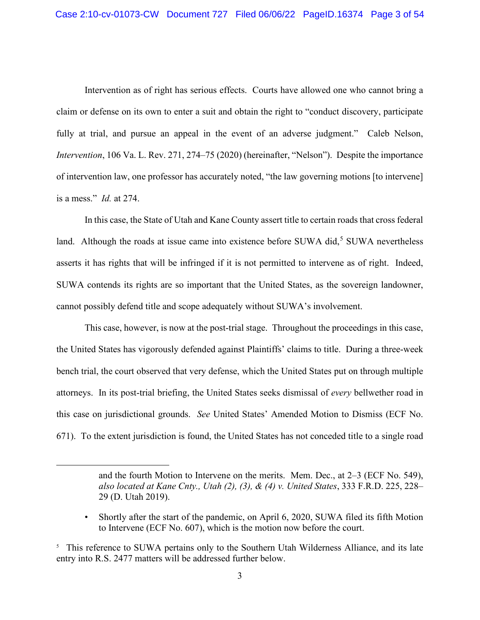Intervention as of right has serious effects. Courts have allowed one who cannot bring a claim or defense on its own to enter a suit and obtain the right to "conduct discovery, participate fully at trial, and pursue an appeal in the event of an adverse judgment." Caleb Nelson, *Intervention*, 106 Va. L. Rev. 271, 274–75 (2020) (hereinafter, "Nelson"). Despite the importance of intervention law, one professor has accurately noted, "the law governing motions [to intervene] is a mess." *Id.* at 274.

In this case, the State of Utah and Kane County assert title to certain roads that cross federal land. Although the roads at issue came into existence before SUWA did, $5$  SUWA nevertheless asserts it has rights that will be infringed if it is not permitted to intervene as of right. Indeed, SUWA contends its rights are so important that the United States, as the sovereign landowner, cannot possibly defend title and scope adequately without SUWA's involvement.

This case, however, is now at the post-trial stage. Throughout the proceedings in this case, the United States has vigorously defended against Plaintiffs' claims to title. During a three-week bench trial, the court observed that very defense, which the United States put on through multiple attorneys. In its post-trial briefing, the United States seeks dismissal of *every* bellwether road in this case on jurisdictional grounds. *See* United States' Amended Motion to Dismiss (ECF No. 671). To the extent jurisdiction is found, the United States has not conceded title to a single road

and the fourth Motion to Intervene on the merits. Mem. Dec., at 2–3 (ECF No. 549), *also located at Kane Cnty., Utah (2), (3), & (4) v. United States*, 333 F.R.D. 225, 228– 29 (D. Utah 2019).

<sup>•</sup> Shortly after the start of the pandemic, on April 6, 2020, SUWA filed its fifth Motion to Intervene (ECF No. 607), which is the motion now before the court.

<sup>&</sup>lt;sup>5</sup> This reference to SUWA pertains only to the Southern Utah Wilderness Alliance, and its late entry into R.S. 2477 matters will be addressed further below.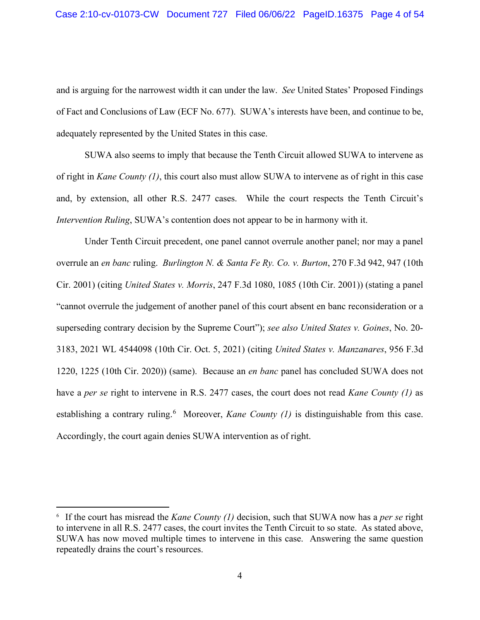and is arguing for the narrowest width it can under the law. *See* United States' Proposed Findings of Fact and Conclusions of Law (ECF No. 677). SUWA's interests have been, and continue to be, adequately represented by the United States in this case.

SUWA also seems to imply that because the Tenth Circuit allowed SUWA to intervene as of right in *Kane County (1)*, this court also must allow SUWA to intervene as of right in this case and, by extension, all other R.S. 2477 cases. While the court respects the Tenth Circuit's *Intervention Ruling*, SUWA's contention does not appear to be in harmony with it.

Under Tenth Circuit precedent, one panel cannot overrule another panel; nor may a panel overrule an *en banc* ruling. *Burlington N. & Santa Fe Ry. Co. v. Burton*, 270 F.3d 942, 947 (10th Cir. 2001) (citing *United States v. Morris*, 247 F.3d 1080, 1085 (10th Cir. 2001)) (stating a panel "cannot overrule the judgement of another panel of this court absent en banc reconsideration or a superseding contrary decision by the Supreme Court"); *see also United States v. Goines*, No. 20- 3183, 2021 WL 4544098 (10th Cir. Oct. 5, 2021) (citing *United States v. Manzanares*, 956 F.3d 1220, 1225 (10th Cir. 2020)) (same). Because an *en banc* panel has concluded SUWA does not have a *per se* right to intervene in R.S. 2477 cases, the court does not read *Kane County (1)* as establishing a contrary ruling.<sup>6</sup> Moreover, *Kane County (1)* is distinguishable from this case. Accordingly, the court again denies SUWA intervention as of right.

<sup>6</sup> If the court has misread the *Kane County (1)* decision, such that SUWA now has a *per se* right to intervene in all R.S. 2477 cases, the court invites the Tenth Circuit to so state. As stated above, SUWA has now moved multiple times to intervene in this case. Answering the same question repeatedly drains the court's resources.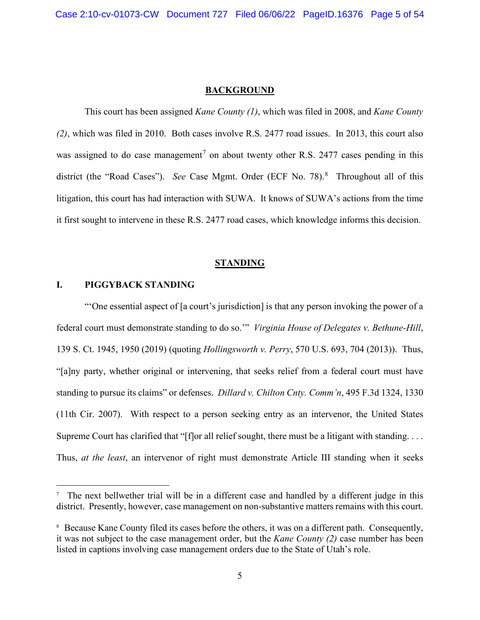#### **BACKGROUND**

This court has been assigned *Kane County (1)*, which was filed in 2008, and *Kane County (2)*, which was filed in 2010. Both cases involve R.S. 2477 road issues. In 2013, this court also was assigned to do case management<sup>7</sup> on about twenty other R.S. 2477 cases pending in this district (the "Road Cases"). *See* Case Mgmt. Order (ECF No. 78). <sup>8</sup> Throughout all of this litigation, this court has had interaction with SUWA. It knows of SUWA's actions from the time it first sought to intervene in these R.S. 2477 road cases, which knowledge informs this decision.

### **STANDING**

# **I. PIGGYBACK STANDING**

"'One essential aspect of [a court's jurisdiction] is that any person invoking the power of a federal court must demonstrate standing to do so.'" *Virginia House of Delegates v. Bethune-Hill*, 139 S. Ct. 1945, 1950 (2019) (quoting *Hollingsworth v. Perry*, 570 U.S. 693, 704 (2013)). Thus, "[a]ny party, whether original or intervening, that seeks relief from a federal court must have standing to pursue its claims" or defenses. *Dillard v. Chilton Cnty. Comm'n*, 495 F.3d 1324, 1330 (11th Cir. 2007). With respect to a person seeking entry as an intervenor, the United States Supreme Court has clarified that "[f]or all relief sought, there must be a litigant with standing.  $\dots$ Thus, *at the least*, an intervenor of right must demonstrate Article III standing when it seeks

<sup>&</sup>lt;sup>7</sup> The next bellwether trial will be in a different case and handled by a different judge in this district. Presently, however, case management on non-substantive matters remains with this court.

<sup>&</sup>lt;sup>8</sup> Because Kane County filed its cases before the others, it was on a different path. Consequently, it was not subject to the case management order, but the *Kane County (2)* case number has been listed in captions involving case management orders due to the State of Utah's role.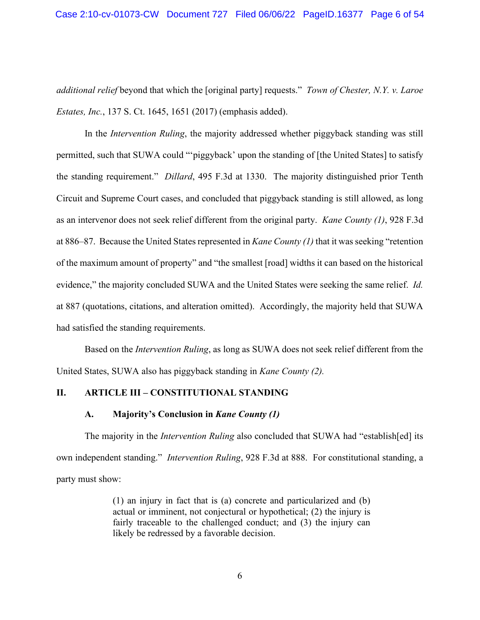*additional relief* beyond that which the [original party] requests." *Town of Chester, N.Y. v. Laroe Estates, Inc.*, 137 S. Ct. 1645, 1651 (2017) (emphasis added).

In the *Intervention Ruling*, the majority addressed whether piggyback standing was still permitted, such that SUWA could "'piggyback' upon the standing of [the United States] to satisfy the standing requirement." *Dillard*, 495 F.3d at 1330. The majority distinguished prior Tenth Circuit and Supreme Court cases, and concluded that piggyback standing is still allowed, as long as an intervenor does not seek relief different from the original party. *Kane County (1)*, 928 F.3d at 886–87. Because the United States represented in *Kane County (1)* that it was seeking "retention of the maximum amount of property" and "the smallest [road] widths it can based on the historical evidence," the majority concluded SUWA and the United States were seeking the same relief. *Id.* at 887 (quotations, citations, and alteration omitted). Accordingly, the majority held that SUWA had satisfied the standing requirements.

Based on the *Intervention Ruling*, as long as SUWA does not seek relief different from the United States, SUWA also has piggyback standing in *Kane County (2).*

# **II. ARTICLE III – CONSTITUTIONAL STANDING**

### **A. Majority's Conclusion in** *Kane County (1)*

The majority in the *Intervention Ruling* also concluded that SUWA had "establish[ed] its own independent standing." *Intervention Ruling*, 928 F.3d at 888. For constitutional standing, a party must show:

> (1) an injury in fact that is (a) concrete and particularized and (b) actual or imminent, not conjectural or hypothetical; (2) the injury is fairly traceable to the challenged conduct; and (3) the injury can likely be redressed by a favorable decision.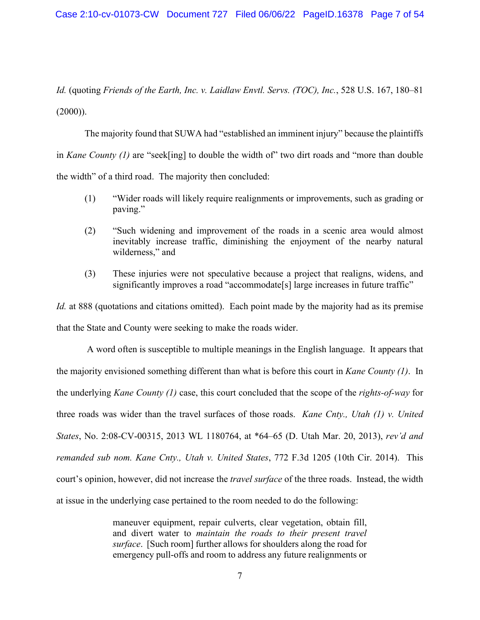*Id.* (quoting *Friends of the Earth, Inc. v. Laidlaw Envtl. Servs. (TOC), Inc.*, 528 U.S. 167, 180–81  $(2000)$ ).

The majority found that SUWA had "established an imminent injury" because the plaintiffs in *Kane County (1)* are "seek[ing] to double the width of" two dirt roads and "more than double the width" of a third road. The majority then concluded:

- (1) "Wider roads will likely require realignments or improvements, such as grading or paving."
- (2) "Such widening and improvement of the roads in a scenic area would almost inevitably increase traffic, diminishing the enjoyment of the nearby natural wilderness," and
- (3) These injuries were not speculative because a project that realigns, widens, and significantly improves a road "accommodate[s] large increases in future traffic"

*Id.* at 888 (quotations and citations omitted). Each point made by the majority had as its premise that the State and County were seeking to make the roads wider.

A word often is susceptible to multiple meanings in the English language. It appears that the majority envisioned something different than what is before this court in *Kane County (1)*. In the underlying *Kane County (1)* case, this court concluded that the scope of the *rights-of-way* for three roads was wider than the travel surfaces of those roads. *Kane Cnty., Utah (1) v. United States*, No. 2:08-CV-00315, 2013 WL 1180764, at \*64–65 (D. Utah Mar. 20, 2013), *rev'd and remanded sub nom. Kane Cnty., Utah v. United States*, 772 F.3d 1205 (10th Cir. 2014). This court's opinion, however, did not increase the *travel surface* of the three roads. Instead, the width at issue in the underlying case pertained to the room needed to do the following:

> maneuver equipment, repair culverts, clear vegetation, obtain fill, and divert water to *maintain the roads to their present travel surface*. [Such room] further allows for shoulders along the road for emergency pull-offs and room to address any future realignments or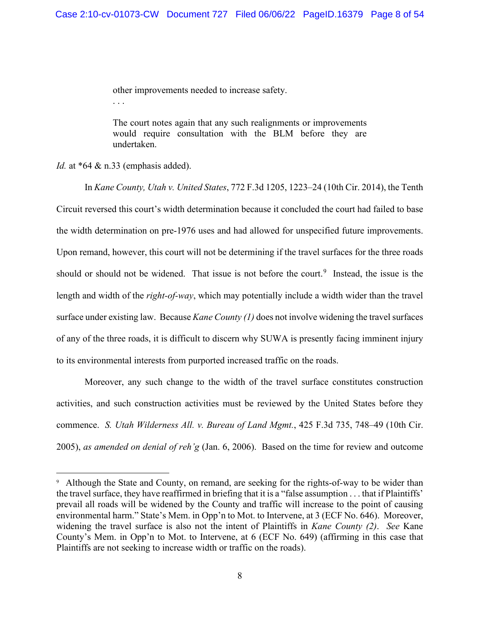other improvements needed to increase safety. . . .

The court notes again that any such realignments or improvements would require consultation with the BLM before they are undertaken.

*Id.* at \*64 & n.33 (emphasis added).

In *Kane County, Utah v. United States*, 772 F.3d 1205, 1223–24 (10th Cir. 2014), the Tenth Circuit reversed this court's width determination because it concluded the court had failed to base the width determination on pre-1976 uses and had allowed for unspecified future improvements. Upon remand, however, this court will not be determining if the travel surfaces for the three roads should or should not be widened. That issue is not before the court.<sup>9</sup> Instead, the issue is the length and width of the *right-of-way*, which may potentially include a width wider than the travel surface under existing law. Because *Kane County (1)* does not involve widening the travel surfaces of any of the three roads, it is difficult to discern why SUWA is presently facing imminent injury to its environmental interests from purported increased traffic on the roads.

Moreover, any such change to the width of the travel surface constitutes construction activities, and such construction activities must be reviewed by the United States before they commence. *S. Utah Wilderness All. v. Bureau of Land Mgmt.*, 425 F.3d 735, 748–49 (10th Cir. 2005), *as amended on denial of reh'g* (Jan. 6, 2006). Based on the time for review and outcome

<sup>&</sup>lt;sup>9</sup> Although the State and County, on remand, are seeking for the rights-of-way to be wider than the travel surface, they have reaffirmed in briefing that it is a "false assumption . . . that if Plaintiffs' prevail all roads will be widened by the County and traffic will increase to the point of causing environmental harm." State's Mem. in Opp'n to Mot. to Intervene, at 3 (ECF No. 646). Moreover, widening the travel surface is also not the intent of Plaintiffs in *Kane County (2)*. *See* Kane County's Mem. in Opp'n to Mot. to Intervene, at 6 (ECF No. 649) (affirming in this case that Plaintiffs are not seeking to increase width or traffic on the roads).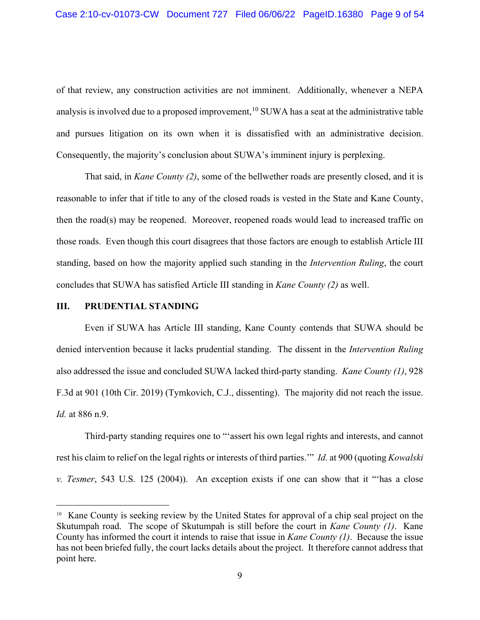of that review, any construction activities are not imminent. Additionally, whenever a NEPA analysis is involved due to a proposed improvement,  $^{10}$  SUWA has a seat at the administrative table and pursues litigation on its own when it is dissatisfied with an administrative decision. Consequently, the majority's conclusion about SUWA's imminent injury is perplexing.

That said, in *Kane County (2)*, some of the bellwether roads are presently closed, and it is reasonable to infer that if title to any of the closed roads is vested in the State and Kane County, then the road(s) may be reopened. Moreover, reopened roads would lead to increased traffic on those roads. Even though this court disagrees that those factors are enough to establish Article III standing, based on how the majority applied such standing in the *Intervention Ruling*, the court concludes that SUWA has satisfied Article III standing in *Kane County (2)* as well.

## **III. PRUDENTIAL STANDING**

Even if SUWA has Article III standing, Kane County contends that SUWA should be denied intervention because it lacks prudential standing. The dissent in the *Intervention Ruling* also addressed the issue and concluded SUWA lacked third-party standing. *Kane County (1)*, 928 F.3d at 901 (10th Cir. 2019) (Tymkovich, C.J., dissenting). The majority did not reach the issue. *Id.* at 886 n.9.

Third-party standing requires one to "'assert his own legal rights and interests, and cannot rest his claim to relief on the legal rights or interests of third parties.'" *Id.* at 900 (quoting *Kowalski v. Tesmer*, 543 U.S. 125 (2004)). An exception exists if one can show that it "'has a close

<sup>&</sup>lt;sup>10</sup> Kane County is seeking review by the United States for approval of a chip seal project on the Skutumpah road. The scope of Skutumpah is still before the court in *Kane County (1)*. Kane County has informed the court it intends to raise that issue in *Kane County (1)*. Because the issue has not been briefed fully, the court lacks details about the project. It therefore cannot address that point here.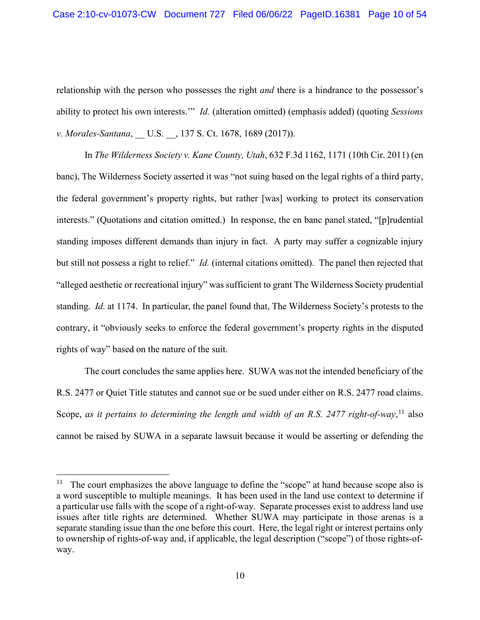relationship with the person who possesses the right *and* there is a hindrance to the possessor's ability to protect his own interests.'" *Id.* (alteration omitted) (emphasis added) (quoting *Sessions v. Morales-Santana*, U.S. , 137 S. Ct. 1678, 1689 (2017)).

In *The Wilderness Society v. Kane County, Utah*, 632 F.3d 1162, 1171 (10th Cir. 2011) (en banc), The Wilderness Society asserted it was "not suing based on the legal rights of a third party, the federal government's property rights, but rather [was] working to protect its conservation interests." (Quotations and citation omitted.) In response, the en banc panel stated, "[p]rudential standing imposes different demands than injury in fact. A party may suffer a cognizable injury but still not possess a right to relief." *Id.* (internal citations omitted). The panel then rejected that "alleged aesthetic or recreational injury" was sufficient to grant The Wilderness Society prudential standing. *Id.* at 1174. In particular, the panel found that, The Wilderness Society's protests to the contrary, it "obviously seeks to enforce the federal government's property rights in the disputed rights of way" based on the nature of the suit.

The court concludes the same applies here. SUWA was not the intended beneficiary of the R.S. 2477 or Quiet Title statutes and cannot sue or be sued under either on R.S. 2477 road claims. Scope, as it pertains to determining the length and width of an R.S. 2477 right-of-way,<sup>11</sup> also cannot be raised by SUWA in a separate lawsuit because it would be asserting or defending the

The court emphasizes the above language to define the "scope" at hand because scope also is a word susceptible to multiple meanings. It has been used in the land use context to determine if a particular use falls with the scope of a right-of-way. Separate processes exist to address land use issues after title rights are determined. Whether SUWA may participate in those arenas is a separate standing issue than the one before this court. Here, the legal right or interest pertains only to ownership of rights-of-way and, if applicable, the legal description ("scope") of those rights-ofway.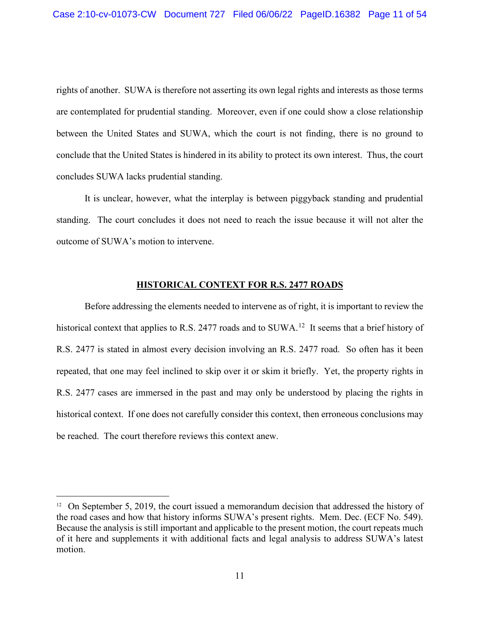rights of another. SUWA is therefore not asserting its own legal rights and interests as those terms are contemplated for prudential standing. Moreover, even if one could show a close relationship between the United States and SUWA, which the court is not finding, there is no ground to conclude that the United States is hindered in its ability to protect its own interest. Thus, the court concludes SUWA lacks prudential standing.

It is unclear, however, what the interplay is between piggyback standing and prudential standing. The court concludes it does not need to reach the issue because it will not alter the outcome of SUWA's motion to intervene.

#### **HISTORICAL CONTEXT FOR R.S. 2477 ROADS**

Before addressing the elements needed to intervene as of right, it is important to review the historical context that applies to R.S. 2477 roads and to SUWA.<sup>12</sup> It seems that a brief history of R.S. 2477 is stated in almost every decision involving an R.S. 2477 road. So often has it been repeated, that one may feel inclined to skip over it or skim it briefly. Yet, the property rights in R.S. 2477 cases are immersed in the past and may only be understood by placing the rights in historical context. If one does not carefully consider this context, then erroneous conclusions may be reached. The court therefore reviews this context anew.

<sup>&</sup>lt;sup>12</sup> On September 5, 2019, the court issued a memorandum decision that addressed the history of the road cases and how that history informs SUWA's present rights. Mem. Dec. (ECF No. 549). Because the analysis is still important and applicable to the present motion, the court repeats much of it here and supplements it with additional facts and legal analysis to address SUWA's latest motion.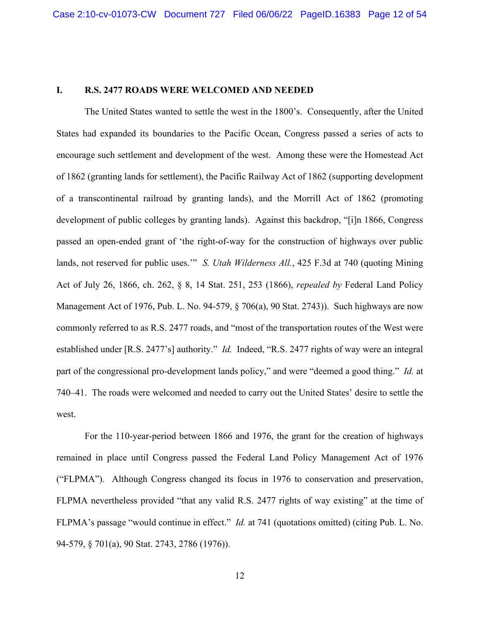## **I. R.S. 2477 ROADS WERE WELCOMED AND NEEDED**

The United States wanted to settle the west in the 1800's. Consequently, after the United States had expanded its boundaries to the Pacific Ocean, Congress passed a series of acts to encourage such settlement and development of the west. Among these were the Homestead Act of 1862 (granting lands for settlement), the Pacific Railway Act of 1862 (supporting development of a transcontinental railroad by granting lands), and the Morrill Act of 1862 (promoting development of public colleges by granting lands). Against this backdrop, "[i]n 1866, Congress passed an open-ended grant of 'the right-of-way for the construction of highways over public lands, not reserved for public uses.'" *S. Utah Wilderness All.*, 425 F.3d at 740 (quoting Mining Act of July 26, 1866, ch. 262, § 8, 14 Stat. 251, 253 (1866), *repealed by* Federal Land Policy Management Act of 1976, Pub. L. No. 94-579, § 706(a), 90 Stat. 2743)). Such highways are now commonly referred to as R.S. 2477 roads, and "most of the transportation routes of the West were established under [R.S. 2477's] authority." *Id.* Indeed, "R.S. 2477 rights of way were an integral part of the congressional pro-development lands policy," and were "deemed a good thing." *Id.* at 740–41. The roads were welcomed and needed to carry out the United States' desire to settle the west.

For the 110-year-period between 1866 and 1976, the grant for the creation of highways remained in place until Congress passed the Federal Land Policy Management Act of 1976 ("FLPMA"). Although Congress changed its focus in 1976 to conservation and preservation, FLPMA nevertheless provided "that any valid R.S. 2477 rights of way existing" at the time of FLPMA's passage "would continue in effect." *Id.* at 741 (quotations omitted) (citing Pub. L. No. 94-579, § 701(a), 90 Stat. 2743, 2786 (1976)).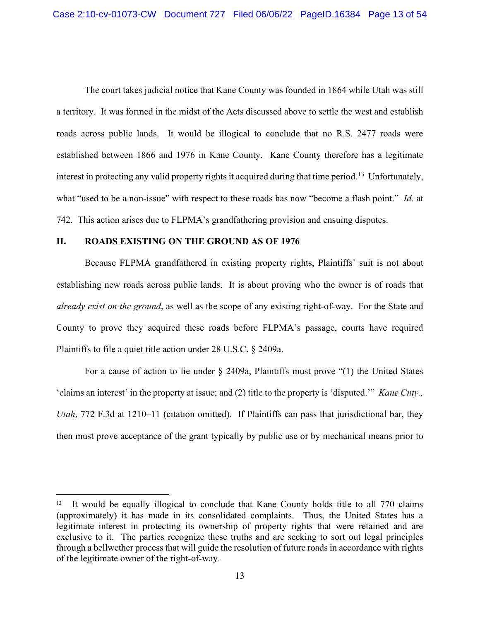The court takes judicial notice that Kane County was founded in 1864 while Utah was still a territory. It was formed in the midst of the Acts discussed above to settle the west and establish roads across public lands. It would be illogical to conclude that no R.S. 2477 roads were established between 1866 and 1976 in Kane County. Kane County therefore has a legitimate interest in protecting any valid property rights it acquired during that time period.<sup>13</sup> Unfortunately, what "used to be a non-issue" with respect to these roads has now "become a flash point." *Id.* at 742. This action arises due to FLPMA's grandfathering provision and ensuing disputes.

### **II. ROADS EXISTING ON THE GROUND AS OF 1976**

Because FLPMA grandfathered in existing property rights, Plaintiffs' suit is not about establishing new roads across public lands. It is about proving who the owner is of roads that *already exist on the ground*, as well as the scope of any existing right-of-way. For the State and County to prove they acquired these roads before FLPMA's passage, courts have required Plaintiffs to file a quiet title action under 28 U.S.C. § 2409a.

For a cause of action to lie under § 2409a, Plaintiffs must prove "(1) the United States 'claims an interest' in the property at issue; and (2) title to the property is 'disputed.'" *Kane Cnty., Utah*, 772 F.3d at 1210–11 (citation omitted). If Plaintiffs can pass that jurisdictional bar, they then must prove acceptance of the grant typically by public use or by mechanical means prior to

<sup>&</sup>lt;sup>13</sup> It would be equally illogical to conclude that Kane County holds title to all 770 claims (approximately) it has made in its consolidated complaints. Thus, the United States has a legitimate interest in protecting its ownership of property rights that were retained and are exclusive to it. The parties recognize these truths and are seeking to sort out legal principles through a bellwether process that will guide the resolution of future roads in accordance with rights of the legitimate owner of the right-of-way.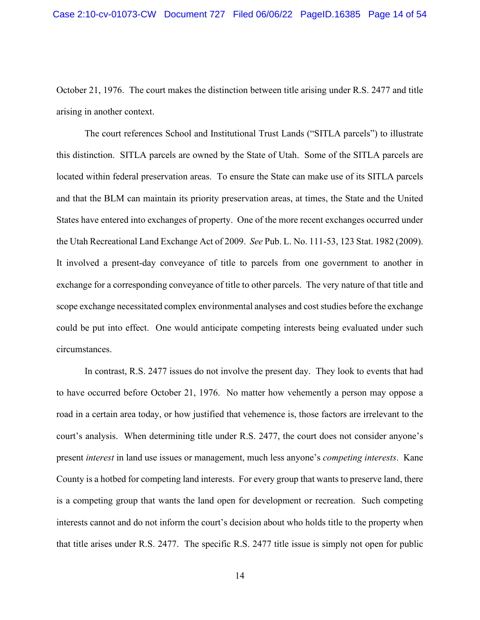October 21, 1976. The court makes the distinction between title arising under R.S. 2477 and title arising in another context.

The court references School and Institutional Trust Lands ("SITLA parcels") to illustrate this distinction. SITLA parcels are owned by the State of Utah. Some of the SITLA parcels are located within federal preservation areas. To ensure the State can make use of its SITLA parcels and that the BLM can maintain its priority preservation areas, at times, the State and the United States have entered into exchanges of property. One of the more recent exchanges occurred under the Utah Recreational Land Exchange Act of 2009. *See* Pub. L. No. 111-53, 123 Stat. 1982 (2009). It involved a present-day conveyance of title to parcels from one government to another in exchange for a corresponding conveyance of title to other parcels. The very nature of that title and scope exchange necessitated complex environmental analyses and cost studies before the exchange could be put into effect. One would anticipate competing interests being evaluated under such circumstances.

In contrast, R.S. 2477 issues do not involve the present day. They look to events that had to have occurred before October 21, 1976. No matter how vehemently a person may oppose a road in a certain area today, or how justified that vehemence is, those factors are irrelevant to the court's analysis. When determining title under R.S. 2477, the court does not consider anyone's present *interest* in land use issues or management, much less anyone's *competing interests*. Kane County is a hotbed for competing land interests. For every group that wants to preserve land, there is a competing group that wants the land open for development or recreation. Such competing interests cannot and do not inform the court's decision about who holds title to the property when that title arises under R.S. 2477. The specific R.S. 2477 title issue is simply not open for public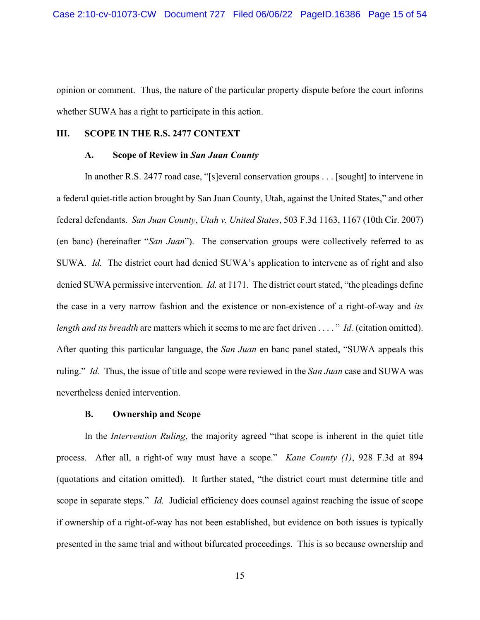opinion or comment. Thus, the nature of the particular property dispute before the court informs whether SUWA has a right to participate in this action.

#### **III. SCOPE IN THE R.S. 2477 CONTEXT**

#### **A. Scope of Review in** *San Juan County*

In another R.S. 2477 road case, "[s]everal conservation groups . . . [sought] to intervene in a federal quiet-title action brought by San Juan County, Utah, against the United States," and other federal defendants. *San Juan County*, *Utah v. United States*, 503 F.3d 1163, 1167 (10th Cir. 2007) (en banc) (hereinafter "*San Juan*"). The conservation groups were collectively referred to as SUWA. *Id.* The district court had denied SUWA's application to intervene as of right and also denied SUWA permissive intervention. *Id.* at 1171. The district court stated, "the pleadings define the case in a very narrow fashion and the existence or non-existence of a right-of-way and *its length and its breadth* are matters which it seems to me are fact driven . . . . " *Id.* (citation omitted). After quoting this particular language, the *San Juan* en banc panel stated, "SUWA appeals this ruling." *Id.* Thus, the issue of title and scope were reviewed in the *San Juan* case and SUWA was nevertheless denied intervention.

#### **B. Ownership and Scope**

In the *Intervention Ruling*, the majority agreed "that scope is inherent in the quiet title process. After all, a right-of way must have a scope." *Kane County (1)*, 928 F.3d at 894 (quotations and citation omitted). It further stated, "the district court must determine title and scope in separate steps." *Id.* Judicial efficiency does counsel against reaching the issue of scope if ownership of a right-of-way has not been established, but evidence on both issues is typically presented in the same trial and without bifurcated proceedings. This is so because ownership and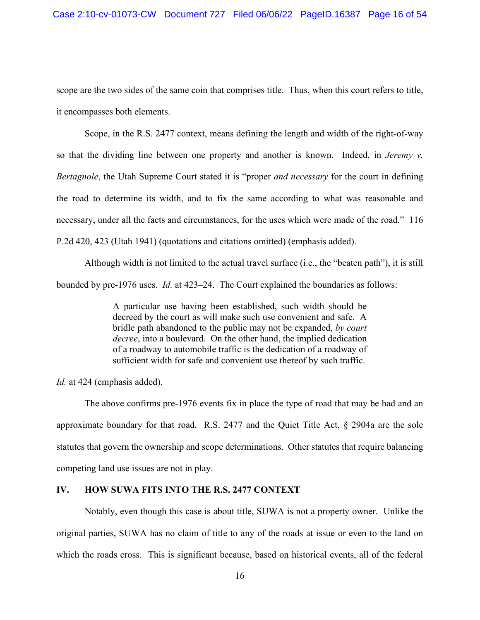scope are the two sides of the same coin that comprises title. Thus, when this court refers to title, it encompasses both elements.

Scope, in the R.S. 2477 context, means defining the length and width of the right-of-way so that the dividing line between one property and another is known. Indeed, in *Jeremy v. Bertagnole*, the Utah Supreme Court stated it is "proper *and necessary* for the court in defining the road to determine its width, and to fix the same according to what was reasonable and necessary, under all the facts and circumstances, for the uses which were made of the road." 116 P.2d 420, 423 (Utah 1941) (quotations and citations omitted) (emphasis added).

Although width is not limited to the actual travel surface (i.e., the "beaten path"), it is still bounded by pre-1976 uses. *Id.* at 423–24. The Court explained the boundaries as follows:

> A particular use having been established, such width should be decreed by the court as will make such use convenient and safe. A bridle path abandoned to the public may not be expanded, *by court decree*, into a boulevard. On the other hand, the implied dedication of a roadway to automobile traffic is the dedication of a roadway of sufficient width for safe and convenient use thereof by such traffic.

*Id.* at 424 (emphasis added).

The above confirms pre-1976 events fix in place the type of road that may be had and an approximate boundary for that road. R.S. 2477 and the Quiet Title Act, § 2904a are the sole statutes that govern the ownership and scope determinations. Other statutes that require balancing competing land use issues are not in play.

## **IV. HOW SUWA FITS INTO THE R.S. 2477 CONTEXT**

Notably, even though this case is about title, SUWA is not a property owner. Unlike the original parties, SUWA has no claim of title to any of the roads at issue or even to the land on which the roads cross. This is significant because, based on historical events, all of the federal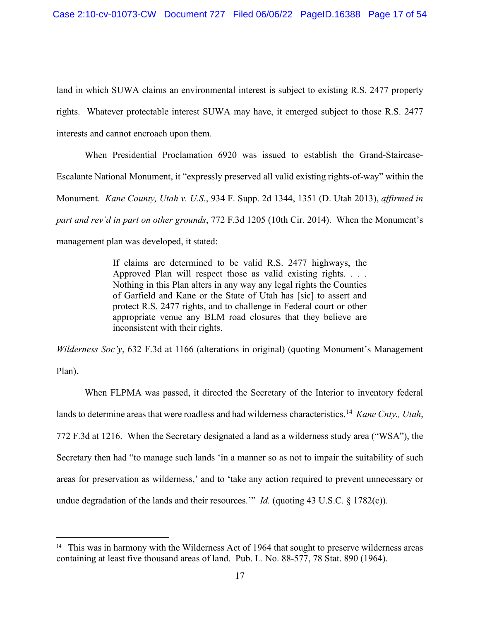land in which SUWA claims an environmental interest is subject to existing R.S. 2477 property rights. Whatever protectable interest SUWA may have, it emerged subject to those R.S. 2477 interests and cannot encroach upon them.

When Presidential Proclamation 6920 was issued to establish the Grand-Staircase-Escalante National Monument, it "expressly preserved all valid existing rights-of-way" within the Monument. *Kane County, Utah v. U.S.*, 934 F. Supp. 2d 1344, 1351 (D. Utah 2013), *affirmed in part and rev'd in part on other grounds*, 772 F.3d 1205 (10th Cir. 2014). When the Monument's management plan was developed, it stated:

> If claims are determined to be valid R.S. 2477 highways, the Approved Plan will respect those as valid existing rights. . . . Nothing in this Plan alters in any way any legal rights the Counties of Garfield and Kane or the State of Utah has [sic] to assert and protect R.S. 2477 rights, and to challenge in Federal court or other appropriate venue any BLM road closures that they believe are inconsistent with their rights.

*Wilderness Soc'y*, 632 F.3d at 1166 (alterations in original) (quoting Monument's Management Plan).

When FLPMA was passed, it directed the Secretary of the Interior to inventory federal lands to determine areas that were roadless and had wilderness characteristics.14 *Kane Cnty., Utah*, 772 F.3d at 1216. When the Secretary designated a land as a wilderness study area ("WSA"), the Secretary then had "to manage such lands 'in a manner so as not to impair the suitability of such areas for preservation as wilderness,' and to 'take any action required to prevent unnecessary or undue degradation of the lands and their resources." *Id.* (quoting 43 U.S.C. § 1782(c)).

<sup>&</sup>lt;sup>14</sup> This was in harmony with the Wilderness Act of 1964 that sought to preserve wilderness areas containing at least five thousand areas of land. Pub. L. No. 88-577, 78 Stat. 890 (1964).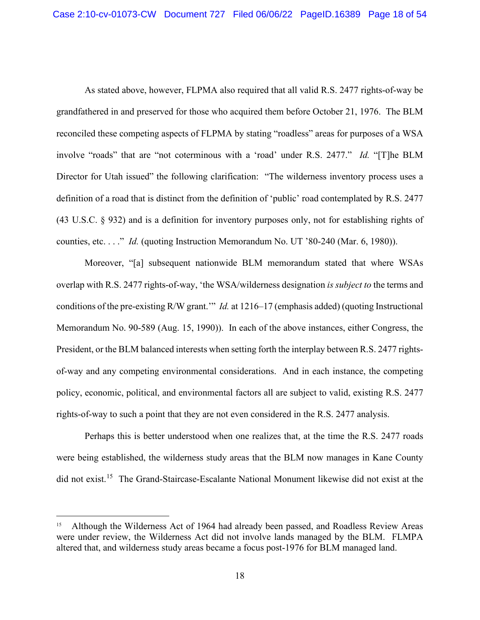As stated above, however, FLPMA also required that all valid R.S. 2477 rights-of-way be grandfathered in and preserved for those who acquired them before October 21, 1976. The BLM reconciled these competing aspects of FLPMA by stating "roadless" areas for purposes of a WSA involve "roads" that are "not coterminous with a 'road' under R.S. 2477." *Id.* "[T]he BLM Director for Utah issued" the following clarification: "The wilderness inventory process uses a definition of a road that is distinct from the definition of 'public' road contemplated by R.S. 2477 (43 U.S.C. § 932) and is a definition for inventory purposes only, not for establishing rights of counties, etc. . . ." *Id.* (quoting Instruction Memorandum No. UT '80-240 (Mar. 6, 1980)).

Moreover, "[a] subsequent nationwide BLM memorandum stated that where WSAs overlap with R.S. 2477 rights-of-way, 'the WSA/wilderness designation *is subject to* the terms and conditions of the pre-existing R/W grant.'" *Id.* at 1216–17 (emphasis added) (quoting Instructional Memorandum No. 90-589 (Aug. 15, 1990)). In each of the above instances, either Congress, the President, or the BLM balanced interests when setting forth the interplay between R.S. 2477 rightsof-way and any competing environmental considerations. And in each instance, the competing policy, economic, political, and environmental factors all are subject to valid, existing R.S. 2477 rights-of-way to such a point that they are not even considered in the R.S. 2477 analysis.

Perhaps this is better understood when one realizes that, at the time the R.S. 2477 roads were being established, the wilderness study areas that the BLM now manages in Kane County did not exist.<sup>15</sup> The Grand-Staircase-Escalante National Monument likewise did not exist at the

Although the Wilderness Act of 1964 had already been passed, and Roadless Review Areas were under review, the Wilderness Act did not involve lands managed by the BLM. FLMPA altered that, and wilderness study areas became a focus post-1976 for BLM managed land.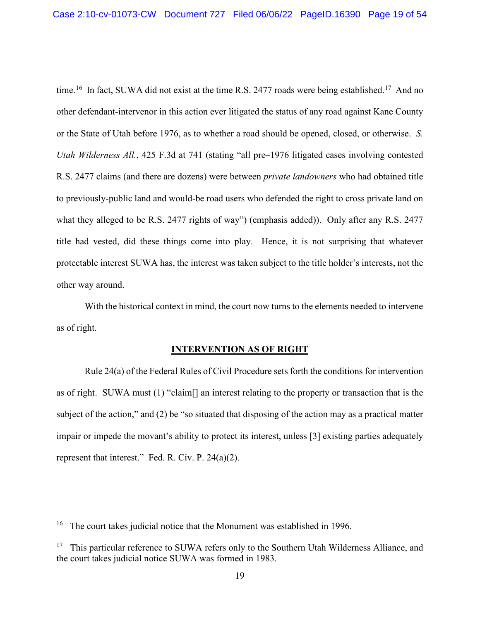time.<sup>16</sup> In fact, SUWA did not exist at the time R.S. 2477 roads were being established.<sup>17</sup> And no other defendant-intervenor in this action ever litigated the status of any road against Kane County or the State of Utah before 1976, as to whether a road should be opened, closed, or otherwise. *S. Utah Wilderness All.*, 425 F.3d at 741 (stating "all pre–1976 litigated cases involving contested R.S. 2477 claims (and there are dozens) were between *private landowners* who had obtained title to previously-public land and would-be road users who defended the right to cross private land on what they alleged to be R.S. 2477 rights of way") (emphasis added)). Only after any R.S. 2477 title had vested, did these things come into play. Hence, it is not surprising that whatever protectable interest SUWA has, the interest was taken subject to the title holder's interests, not the other way around.

With the historical context in mind, the court now turns to the elements needed to intervene as of right.

## **INTERVENTION AS OF RIGHT**

Rule 24(a) of the Federal Rules of Civil Procedure sets forth the conditions for intervention as of right. SUWA must (1) "claim[] an interest relating to the property or transaction that is the subject of the action," and (2) be "so situated that disposing of the action may as a practical matter impair or impede the movant's ability to protect its interest, unless [3] existing parties adequately represent that interest." Fed. R. Civ. P. 24(a)(2).

<sup>&</sup>lt;sup>16</sup> The court takes judicial notice that the Monument was established in 1996.

<sup>&</sup>lt;sup>17</sup> This particular reference to SUWA refers only to the Southern Utah Wilderness Alliance, and the court takes judicial notice SUWA was formed in 1983.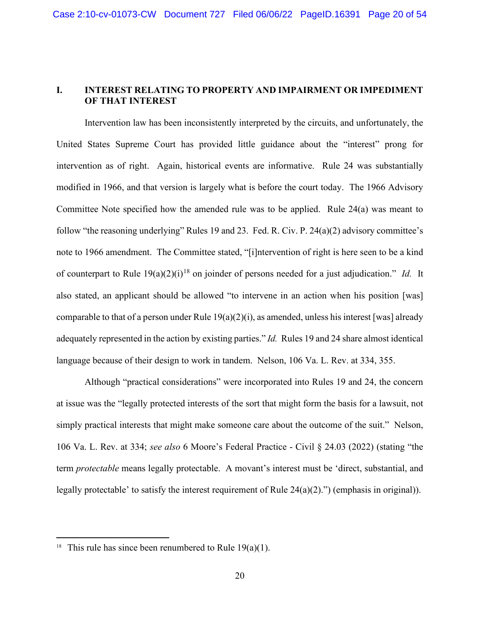# **I. INTEREST RELATING TO PROPERTY AND IMPAIRMENT OR IMPEDIMENT OF THAT INTEREST**

Intervention law has been inconsistently interpreted by the circuits, and unfortunately, the United States Supreme Court has provided little guidance about the "interest" prong for intervention as of right. Again, historical events are informative. Rule 24 was substantially modified in 1966, and that version is largely what is before the court today. The 1966 Advisory Committee Note specified how the amended rule was to be applied. Rule 24(a) was meant to follow "the reasoning underlying" Rules 19 and 23. Fed. R. Civ. P. 24(a)(2) advisory committee's note to 1966 amendment. The Committee stated, "[i]ntervention of right is here seen to be a kind of counterpart to Rule 19(a)(2)(i)<sup>18</sup> on joinder of persons needed for a just adjudication." *Id.* It also stated, an applicant should be allowed "to intervene in an action when his position [was] comparable to that of a person under Rule  $19(a)(2)(i)$ , as amended, unless his interest [was] already adequately represented in the action by existing parties." *Id.* Rules 19 and 24 share almost identical language because of their design to work in tandem. Nelson, 106 Va. L. Rev. at 334, 355.

Although "practical considerations" were incorporated into Rules 19 and 24, the concern at issue was the "legally protected interests of the sort that might form the basis for a lawsuit, not simply practical interests that might make someone care about the outcome of the suit." Nelson, 106 Va. L. Rev. at 334; *see also* 6 Moore's Federal Practice - Civil § 24.03 (2022) (stating "the term *protectable* means legally protectable. A movant's interest must be 'direct, substantial, and legally protectable' to satisfy the interest requirement of Rule  $24(a)(2)$ .") (emphasis in original)).

<sup>&</sup>lt;sup>18</sup> This rule has since been renumbered to Rule  $19(a)(1)$ .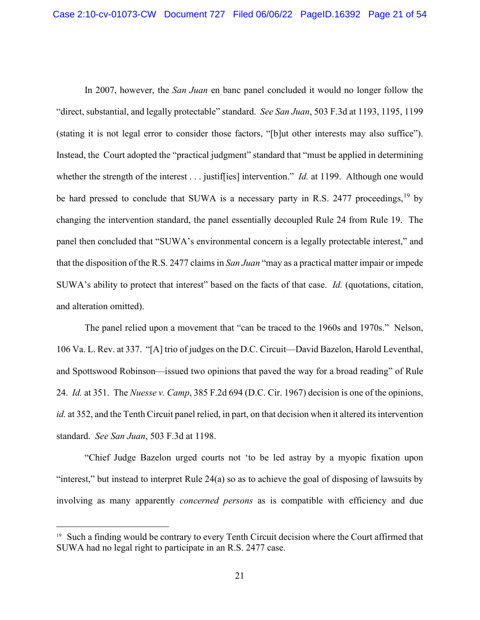In 2007, however, the *San Juan* en banc panel concluded it would no longer follow the "direct, substantial, and legally protectable" standard. *See San Juan*, 503 F.3d at 1193, 1195, 1199 (stating it is not legal error to consider those factors, "[b]ut other interests may also suffice"). Instead, the Court adopted the "practical judgment" standard that "must be applied in determining whether the strength of the interest . . . justiffies] intervention." *Id.* at 1199. Although one would be hard pressed to conclude that SUWA is a necessary party in R.S. 2477 proceedings,<sup>19</sup> by changing the intervention standard, the panel essentially decoupled Rule 24 from Rule 19. The panel then concluded that "SUWA's environmental concern is a legally protectable interest," and that the disposition of the R.S. 2477 claims in *San Juan* "may as a practical matter impair or impede SUWA's ability to protect that interest" based on the facts of that case. *Id.* (quotations, citation, and alteration omitted).

The panel relied upon a movement that "can be traced to the 1960s and 1970s." Nelson, 106 Va. L. Rev. at 337. "[A] trio of judges on the D.C. Circuit—David Bazelon, Harold Leventhal, and Spottswood Robinson—issued two opinions that paved the way for a broad reading" of Rule 24. *Id.* at 351. The *Nuesse v. Camp*, 385 F.2d 694 (D.C. Cir. 1967) decision is one of the opinions, *id.* at 352, and the Tenth Circuit panel relied, in part, on that decision when it altered its intervention standard. *See San Juan*, 503 F.3d at 1198.

"Chief Judge Bazelon urged courts not 'to be led astray by a myopic fixation upon "interest," but instead to interpret Rule 24(a) so as to achieve the goal of disposing of lawsuits by involving as many apparently *concerned persons* as is compatible with efficiency and due

<sup>&</sup>lt;sup>19</sup> Such a finding would be contrary to every Tenth Circuit decision where the Court affirmed that SUWA had no legal right to participate in an R.S. 2477 case.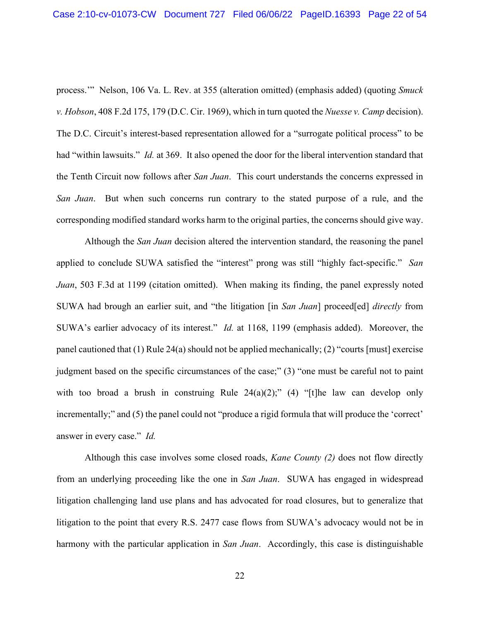process.'" Nelson, 106 Va. L. Rev. at 355 (alteration omitted) (emphasis added) (quoting *Smuck v. Hobson*, 408 F.2d 175, 179 (D.C. Cir. 1969), which in turn quoted the *Nuesse v. Camp* decision). The D.C. Circuit's interest-based representation allowed for a "surrogate political process" to be had "within lawsuits." *Id.* at 369. It also opened the door for the liberal intervention standard that the Tenth Circuit now follows after *San Juan*. This court understands the concerns expressed in *San Juan*. But when such concerns run contrary to the stated purpose of a rule, and the corresponding modified standard works harm to the original parties, the concerns should give way.

Although the *San Juan* decision altered the intervention standard, the reasoning the panel applied to conclude SUWA satisfied the "interest" prong was still "highly fact-specific." *San Juan*, 503 F.3d at 1199 (citation omitted). When making its finding, the panel expressly noted SUWA had brough an earlier suit, and "the litigation [in *San Juan*] proceed[ed] *directly* from SUWA's earlier advocacy of its interest." *Id.* at 1168, 1199 (emphasis added). Moreover, the panel cautioned that (1) Rule 24(a) should not be applied mechanically; (2) "courts [must] exercise judgment based on the specific circumstances of the case;" (3) "one must be careful not to paint with too broad a brush in construing Rule  $24(a)(2)$ ;" (4) "[t]he law can develop only incrementally;" and (5) the panel could not "produce a rigid formula that will produce the 'correct' answer in every case." *Id.*

Although this case involves some closed roads, *Kane County (2)* does not flow directly from an underlying proceeding like the one in *San Juan*. SUWA has engaged in widespread litigation challenging land use plans and has advocated for road closures, but to generalize that litigation to the point that every R.S. 2477 case flows from SUWA's advocacy would not be in harmony with the particular application in *San Juan*. Accordingly, this case is distinguishable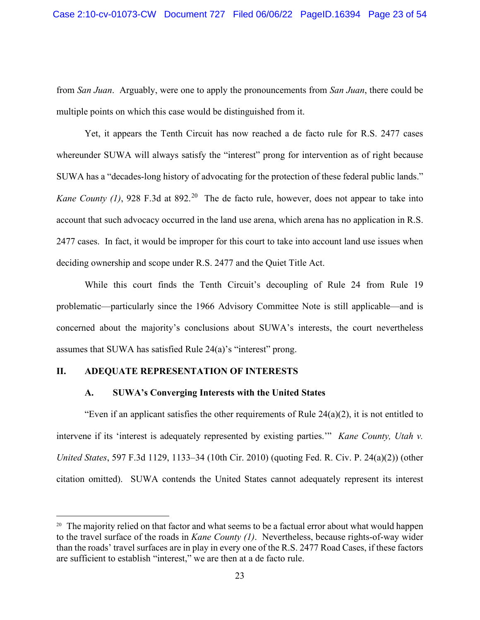from *San Juan*. Arguably, were one to apply the pronouncements from *San Juan*, there could be multiple points on which this case would be distinguished from it.

Yet, it appears the Tenth Circuit has now reached a de facto rule for R.S. 2477 cases whereunder SUWA will always satisfy the "interest" prong for intervention as of right because SUWA has a "decades-long history of advocating for the protection of these federal public lands." *Kane County (1)*, 928 F.3d at 892.<sup>20</sup> The de facto rule, however, does not appear to take into account that such advocacy occurred in the land use arena, which arena has no application in R.S. 2477 cases. In fact, it would be improper for this court to take into account land use issues when deciding ownership and scope under R.S. 2477 and the Quiet Title Act.

While this court finds the Tenth Circuit's decoupling of Rule 24 from Rule 19 problematic—particularly since the 1966 Advisory Committee Note is still applicable—and is concerned about the majority's conclusions about SUWA's interests, the court nevertheless assumes that SUWA has satisfied Rule 24(a)'s "interest" prong.

## **II. ADEQUATE REPRESENTATION OF INTERESTS**

### **A. SUWA's Converging Interests with the United States**

"Even if an applicant satisfies the other requirements of Rule 24(a)(2), it is not entitled to intervene if its 'interest is adequately represented by existing parties.'" *Kane County, Utah v. United States*, 597 F.3d 1129, 1133–34 (10th Cir. 2010) (quoting Fed. R. Civ. P. 24(a)(2)) (other citation omitted). SUWA contends the United States cannot adequately represent its interest

<sup>&</sup>lt;sup>20</sup> The majority relied on that factor and what seems to be a factual error about what would happen to the travel surface of the roads in *Kane County (1)*. Nevertheless, because rights-of-way wider than the roads' travel surfaces are in play in every one of the R.S. 2477 Road Cases, if these factors are sufficient to establish "interest," we are then at a de facto rule.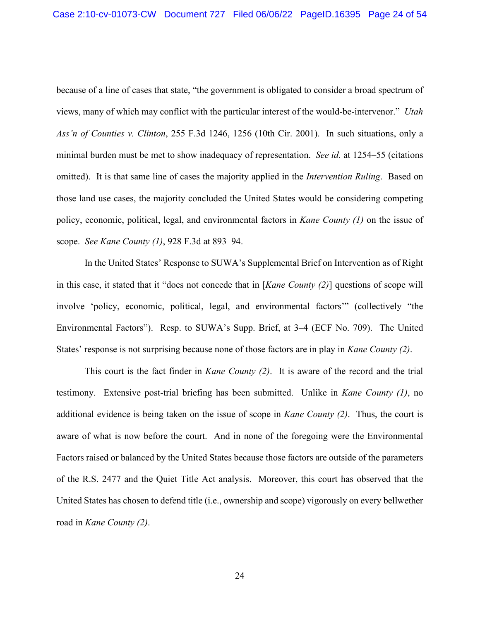because of a line of cases that state, "the government is obligated to consider a broad spectrum of views, many of which may conflict with the particular interest of the would-be-intervenor." *Utah Ass'n of Counties v. Clinton*, 255 F.3d 1246, 1256 (10th Cir. 2001). In such situations, only a minimal burden must be met to show inadequacy of representation. *See id.* at 1254–55 (citations omitted). It is that same line of cases the majority applied in the *Intervention Ruling*. Based on those land use cases, the majority concluded the United States would be considering competing policy, economic, political, legal, and environmental factors in *Kane County (1)* on the issue of scope. *See Kane County (1)*, 928 F.3d at 893–94.

In the United States' Response to SUWA's Supplemental Brief on Intervention as of Right in this case, it stated that it "does not concede that in [*Kane County (2)*] questions of scope will involve 'policy, economic, political, legal, and environmental factors'" (collectively "the Environmental Factors"). Resp. to SUWA's Supp. Brief, at 3–4 (ECF No. 709). The United States' response is not surprising because none of those factors are in play in *Kane County (2)*.

This court is the fact finder in *Kane County (2)*. It is aware of the record and the trial testimony. Extensive post-trial briefing has been submitted. Unlike in *Kane County (1)*, no additional evidence is being taken on the issue of scope in *Kane County (2)*. Thus, the court is aware of what is now before the court. And in none of the foregoing were the Environmental Factors raised or balanced by the United States because those factors are outside of the parameters of the R.S. 2477 and the Quiet Title Act analysis. Moreover, this court has observed that the United States has chosen to defend title (i.e., ownership and scope) vigorously on every bellwether road in *Kane County (2)*.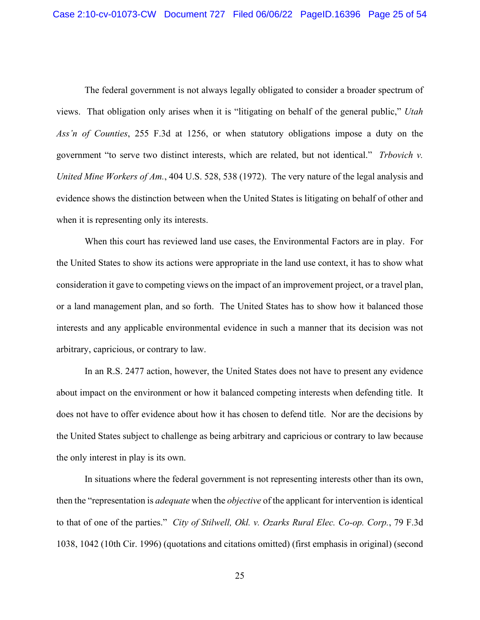The federal government is not always legally obligated to consider a broader spectrum of views. That obligation only arises when it is "litigating on behalf of the general public," *Utah Ass'n of Counties*, 255 F.3d at 1256, or when statutory obligations impose a duty on the government "to serve two distinct interests, which are related, but not identical." *Trbovich v. United Mine Workers of Am.*, 404 U.S. 528, 538 (1972). The very nature of the legal analysis and evidence shows the distinction between when the United States is litigating on behalf of other and when it is representing only its interests.

When this court has reviewed land use cases, the Environmental Factors are in play. For the United States to show its actions were appropriate in the land use context, it has to show what consideration it gave to competing views on the impact of an improvement project, or a travel plan, or a land management plan, and so forth. The United States has to show how it balanced those interests and any applicable environmental evidence in such a manner that its decision was not arbitrary, capricious, or contrary to law.

In an R.S. 2477 action, however, the United States does not have to present any evidence about impact on the environment or how it balanced competing interests when defending title. It does not have to offer evidence about how it has chosen to defend title. Nor are the decisions by the United States subject to challenge as being arbitrary and capricious or contrary to law because the only interest in play is its own.

In situations where the federal government is not representing interests other than its own, then the "representation is *adequate* when the *objective* of the applicant for intervention is identical to that of one of the parties." *City of Stilwell, Okl. v. Ozarks Rural Elec. Co-op. Corp.*, 79 F.3d 1038, 1042 (10th Cir. 1996) (quotations and citations omitted) (first emphasis in original) (second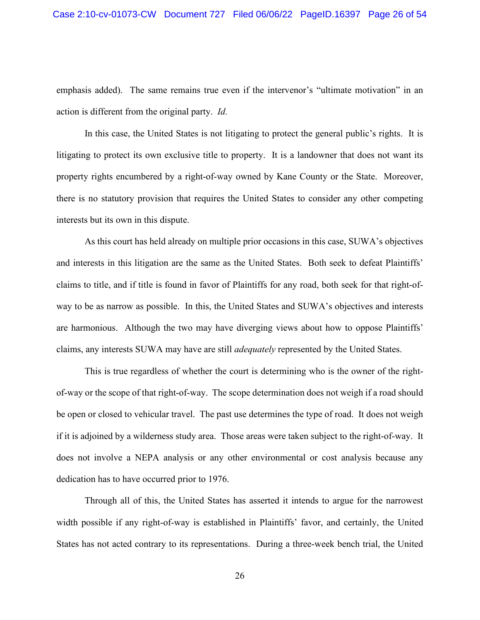emphasis added). The same remains true even if the intervenor's "ultimate motivation" in an action is different from the original party. *Id.*

In this case, the United States is not litigating to protect the general public's rights. It is litigating to protect its own exclusive title to property. It is a landowner that does not want its property rights encumbered by a right-of-way owned by Kane County or the State. Moreover, there is no statutory provision that requires the United States to consider any other competing interests but its own in this dispute.

As this court has held already on multiple prior occasions in this case, SUWA's objectives and interests in this litigation are the same as the United States. Both seek to defeat Plaintiffs' claims to title, and if title is found in favor of Plaintiffs for any road, both seek for that right-ofway to be as narrow as possible. In this, the United States and SUWA's objectives and interests are harmonious. Although the two may have diverging views about how to oppose Plaintiffs' claims, any interests SUWA may have are still *adequately* represented by the United States.

This is true regardless of whether the court is determining who is the owner of the rightof-way or the scope of that right-of-way. The scope determination does not weigh if a road should be open or closed to vehicular travel. The past use determines the type of road. It does not weigh if it is adjoined by a wilderness study area. Those areas were taken subject to the right-of-way. It does not involve a NEPA analysis or any other environmental or cost analysis because any dedication has to have occurred prior to 1976.

Through all of this, the United States has asserted it intends to argue for the narrowest width possible if any right-of-way is established in Plaintiffs' favor, and certainly, the United States has not acted contrary to its representations. During a three-week bench trial, the United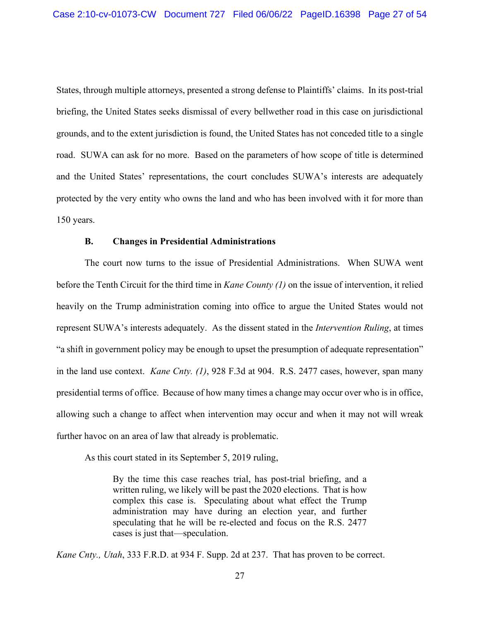States, through multiple attorneys, presented a strong defense to Plaintiffs' claims. In its post-trial briefing, the United States seeks dismissal of every bellwether road in this case on jurisdictional grounds, and to the extent jurisdiction is found, the United States has not conceded title to a single road. SUWA can ask for no more. Based on the parameters of how scope of title is determined and the United States' representations, the court concludes SUWA's interests are adequately protected by the very entity who owns the land and who has been involved with it for more than 150 years.

#### **B. Changes in Presidential Administrations**

The court now turns to the issue of Presidential Administrations. When SUWA went before the Tenth Circuit for the third time in *Kane County (1)* on the issue of intervention, it relied heavily on the Trump administration coming into office to argue the United States would not represent SUWA's interests adequately. As the dissent stated in the *Intervention Ruling*, at times "a shift in government policy may be enough to upset the presumption of adequate representation" in the land use context. *Kane Cnty. (1)*, 928 F.3d at 904. R.S. 2477 cases, however, span many presidential terms of office. Because of how many times a change may occur over who is in office, allowing such a change to affect when intervention may occur and when it may not will wreak further havoc on an area of law that already is problematic.

As this court stated in its September 5, 2019 ruling,

By the time this case reaches trial, has post-trial briefing, and a written ruling, we likely will be past the 2020 elections. That is how complex this case is. Speculating about what effect the Trump administration may have during an election year, and further speculating that he will be re-elected and focus on the R.S. 2477 cases is just that—speculation.

*Kane Cnty., Utah*, 333 F.R.D. at 934 F. Supp. 2d at 237. That has proven to be correct.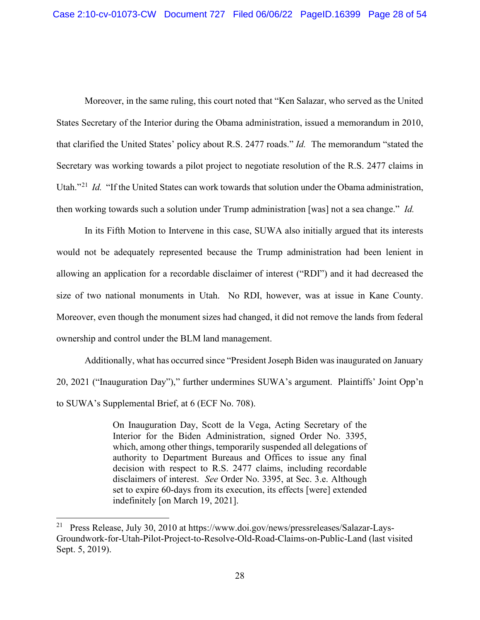Moreover, in the same ruling, this court noted that "Ken Salazar, who served as the United States Secretary of the Interior during the Obama administration, issued a memorandum in 2010, that clarified the United States' policy about R.S. 2477 roads." *Id.* The memorandum "stated the Secretary was working towards a pilot project to negotiate resolution of the R.S. 2477 claims in Utah."<sup>21</sup> *Id.* "If the United States can work towards that solution under the Obama administration, then working towards such a solution under Trump administration [was] not a sea change." *Id.*

In its Fifth Motion to Intervene in this case, SUWA also initially argued that its interests would not be adequately represented because the Trump administration had been lenient in allowing an application for a recordable disclaimer of interest ("RDI") and it had decreased the size of two national monuments in Utah. No RDI, however, was at issue in Kane County. Moreover, even though the monument sizes had changed, it did not remove the lands from federal ownership and control under the BLM land management.

Additionally, what has occurred since "President Joseph Biden was inaugurated on January 20, 2021 ("Inauguration Day")," further undermines SUWA's argument. Plaintiffs' Joint Opp'n to SUWA's Supplemental Brief, at 6 (ECF No. 708).

> On Inauguration Day, Scott de la Vega, Acting Secretary of the Interior for the Biden Administration, signed Order No. 3395, which, among other things, temporarily suspended all delegations of authority to Department Bureaus and Offices to issue any final decision with respect to R.S. 2477 claims, including recordable disclaimers of interest. *See* Order No. 3395, at Sec. 3.e. Although set to expire 60-days from its execution, its effects [were] extended indefinitely [on March 19, 2021].

<sup>21</sup> Press Release, July 30, 2010 at https://www.doi.gov/news/pressreleases/Salazar-Lays-Groundwork-for-Utah-Pilot-Project-to-Resolve-Old-Road-Claims-on-Public-Land (last visited Sept. 5, 2019).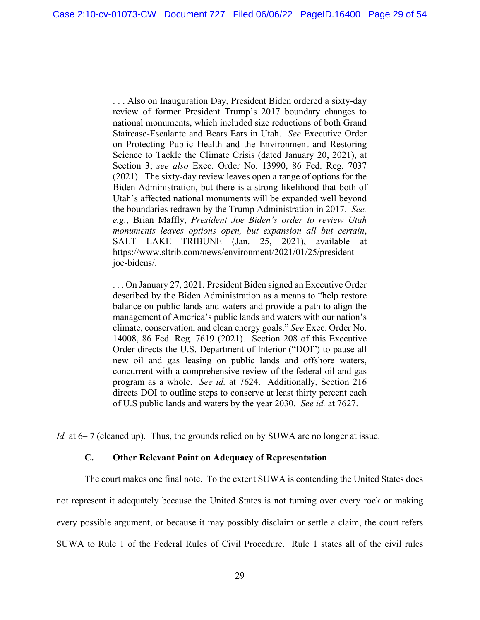. . . Also on Inauguration Day, President Biden ordered a sixty-day review of former President Trump's 2017 boundary changes to national monuments, which included size reductions of both Grand Staircase-Escalante and Bears Ears in Utah. *See* Executive Order on Protecting Public Health and the Environment and Restoring Science to Tackle the Climate Crisis (dated January 20, 2021), at Section 3; *see also* Exec. Order No. 13990, 86 Fed. Reg. 7037 (2021). The sixty-day review leaves open a range of options for the Biden Administration, but there is a strong likelihood that both of Utah's affected national monuments will be expanded well beyond the boundaries redrawn by the Trump Administration in 2017. *See, e.g.*, Brian Maffly, *President Joe Biden's order to review Utah monuments leaves options open, but expansion all but certain*, SALT LAKE TRIBUNE (Jan. 25, 2021), available at https://www.sltrib.com/news/environment/2021/01/25/presidentjoe-bidens/.

. . . On January 27, 2021, President Biden signed an Executive Order described by the Biden Administration as a means to "help restore balance on public lands and waters and provide a path to align the management of America's public lands and waters with our nation's climate, conservation, and clean energy goals." *See* Exec. Order No. 14008, 86 Fed. Reg. 7619 (2021). Section 208 of this Executive Order directs the U.S. Department of Interior ("DOI") to pause all new oil and gas leasing on public lands and offshore waters, concurrent with a comprehensive review of the federal oil and gas program as a whole. *See id.* at 7624. Additionally, Section 216 directs DOI to outline steps to conserve at least thirty percent each of U.S public lands and waters by the year 2030. *See id.* at 7627.

*Id.* at 6–7 (cleaned up). Thus, the grounds relied on by SUWA are no longer at issue.

#### **C. Other Relevant Point on Adequacy of Representation**

The court makes one final note. To the extent SUWA is contending the United States does not represent it adequately because the United States is not turning over every rock or making every possible argument, or because it may possibly disclaim or settle a claim, the court refers SUWA to Rule 1 of the Federal Rules of Civil Procedure. Rule 1 states all of the civil rules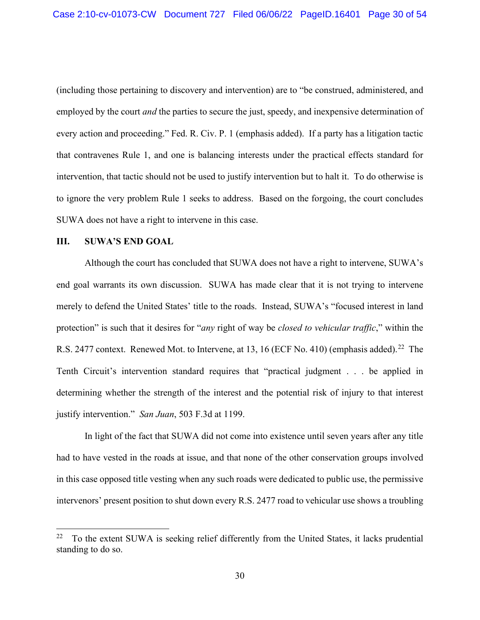(including those pertaining to discovery and intervention) are to "be construed, administered, and employed by the court *and* the parties to secure the just, speedy, and inexpensive determination of every action and proceeding." Fed. R. Civ. P. 1 (emphasis added). If a party has a litigation tactic that contravenes Rule 1, and one is balancing interests under the practical effects standard for intervention, that tactic should not be used to justify intervention but to halt it. To do otherwise is to ignore the very problem Rule 1 seeks to address. Based on the forgoing, the court concludes SUWA does not have a right to intervene in this case.

#### **III. SUWA'S END GOAL**

Although the court has concluded that SUWA does not have a right to intervene, SUWA's end goal warrants its own discussion. SUWA has made clear that it is not trying to intervene merely to defend the United States' title to the roads. Instead, SUWA's "focused interest in land protection" is such that it desires for "*any* right of way be *closed to vehicular traffic*," within the R.S. 2477 context. Renewed Mot. to Intervene, at 13, 16 (ECF No. 410) (emphasis added).<sup>22</sup> The Tenth Circuit's intervention standard requires that "practical judgment . . . be applied in determining whether the strength of the interest and the potential risk of injury to that interest justify intervention." *San Juan*, 503 F.3d at 1199.

In light of the fact that SUWA did not come into existence until seven years after any title had to have vested in the roads at issue, and that none of the other conservation groups involved in this case opposed title vesting when any such roads were dedicated to public use, the permissive intervenors' present position to shut down every R.S. 2477 road to vehicular use shows a troubling

 $22$  To the extent SUWA is seeking relief differently from the United States, it lacks prudential standing to do so.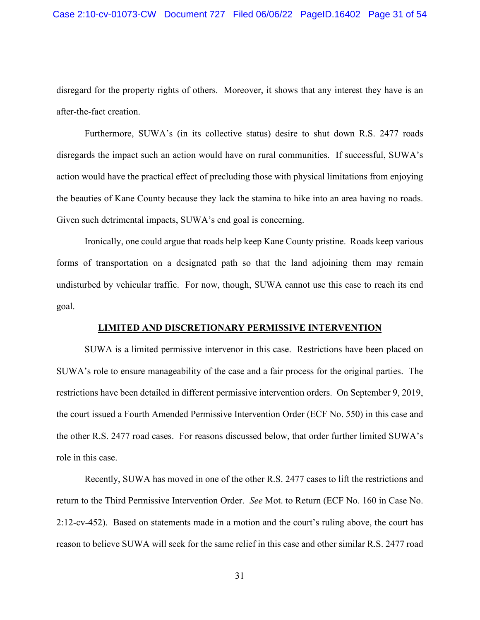disregard for the property rights of others. Moreover, it shows that any interest they have is an after-the-fact creation.

Furthermore, SUWA's (in its collective status) desire to shut down R.S. 2477 roads disregards the impact such an action would have on rural communities. If successful, SUWA's action would have the practical effect of precluding those with physical limitations from enjoying the beauties of Kane County because they lack the stamina to hike into an area having no roads. Given such detrimental impacts, SUWA's end goal is concerning.

Ironically, one could argue that roads help keep Kane County pristine. Roads keep various forms of transportation on a designated path so that the land adjoining them may remain undisturbed by vehicular traffic. For now, though, SUWA cannot use this case to reach its end goal.

## **LIMITED AND DISCRETIONARY PERMISSIVE INTERVENTION**

SUWA is a limited permissive intervenor in this case. Restrictions have been placed on SUWA's role to ensure manageability of the case and a fair process for the original parties. The restrictions have been detailed in different permissive intervention orders. On September 9, 2019, the court issued a Fourth Amended Permissive Intervention Order (ECF No. 550) in this case and the other R.S. 2477 road cases. For reasons discussed below, that order further limited SUWA's role in this case.

Recently, SUWA has moved in one of the other R.S. 2477 cases to lift the restrictions and return to the Third Permissive Intervention Order. *See* Mot. to Return (ECF No. 160 in Case No. 2:12-cv-452). Based on statements made in a motion and the court's ruling above, the court has reason to believe SUWA will seek for the same relief in this case and other similar R.S. 2477 road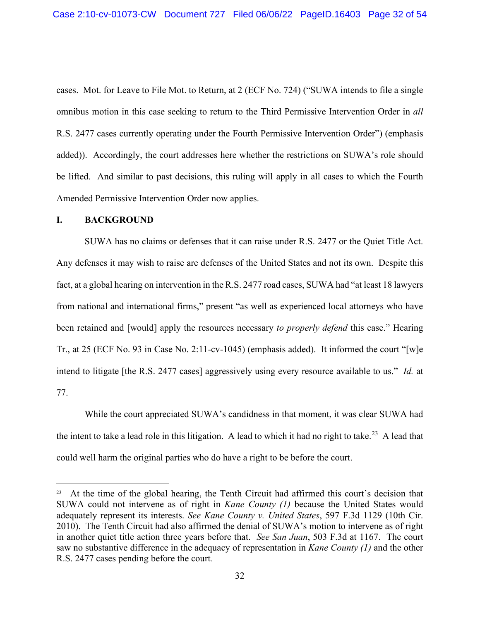cases. Mot. for Leave to File Mot. to Return, at 2 (ECF No. 724) ("SUWA intends to file a single omnibus motion in this case seeking to return to the Third Permissive Intervention Order in *all* R.S. 2477 cases currently operating under the Fourth Permissive Intervention Order") (emphasis added)). Accordingly, the court addresses here whether the restrictions on SUWA's role should be lifted. And similar to past decisions, this ruling will apply in all cases to which the Fourth Amended Permissive Intervention Order now applies.

## **I. BACKGROUND**

SUWA has no claims or defenses that it can raise under R.S. 2477 or the Quiet Title Act. Any defenses it may wish to raise are defenses of the United States and not its own. Despite this fact, at a global hearing on intervention in the R.S. 2477 road cases, SUWA had "at least 18 lawyers from national and international firms," present "as well as experienced local attorneys who have been retained and [would] apply the resources necessary *to properly defend* this case." Hearing Tr., at 25 (ECF No. 93 in Case No. 2:11-cv-1045) (emphasis added). It informed the court "[w]e intend to litigate [the R.S. 2477 cases] aggressively using every resource available to us." *Id.* at 77.

While the court appreciated SUWA's candidness in that moment, it was clear SUWA had the intent to take a lead role in this litigation. A lead to which it had no right to take.<sup>23</sup> A lead that could well harm the original parties who do have a right to be before the court.

<sup>&</sup>lt;sup>23</sup> At the time of the global hearing, the Tenth Circuit had affirmed this court's decision that SUWA could not intervene as of right in *Kane County (1)* because the United States would adequately represent its interests. *See Kane County v. United States*, 597 F.3d 1129 (10th Cir. 2010). The Tenth Circuit had also affirmed the denial of SUWA's motion to intervene as of right in another quiet title action three years before that. *See San Juan*, 503 F.3d at 1167. The court saw no substantive difference in the adequacy of representation in *Kane County (1)* and the other R.S. 2477 cases pending before the court.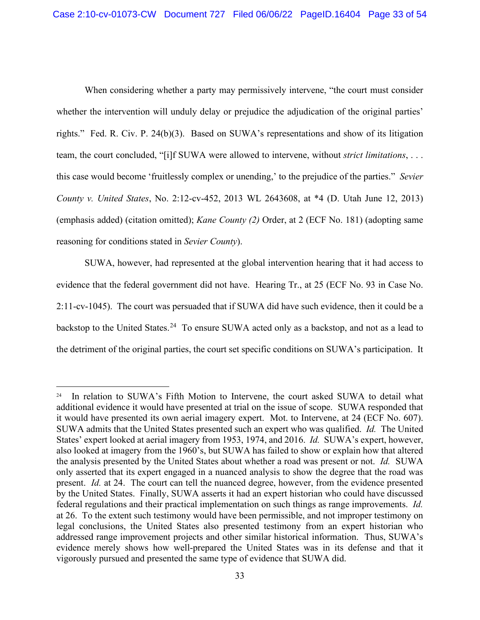When considering whether a party may permissively intervene, "the court must consider whether the intervention will unduly delay or prejudice the adjudication of the original parties' rights." Fed. R. Civ. P. 24(b)(3). Based on SUWA's representations and show of its litigation team, the court concluded, "[i]f SUWA were allowed to intervene, without *strict limitations*, . . . this case would become 'fruitlessly complex or unending,' to the prejudice of the parties." *Sevier County v. United States*, No. 2:12-cv-452, 2013 WL 2643608, at \*4 (D. Utah June 12, 2013) (emphasis added) (citation omitted); *Kane County (2)* Order, at 2 (ECF No. 181) (adopting same reasoning for conditions stated in *Sevier County*).

SUWA, however, had represented at the global intervention hearing that it had access to evidence that the federal government did not have. Hearing Tr., at 25 (ECF No. 93 in Case No. 2:11-cv-1045). The court was persuaded that if SUWA did have such evidence, then it could be a backstop to the United States.<sup>24</sup> To ensure SUWA acted only as a backstop, and not as a lead to the detriment of the original parties, the court set specific conditions on SUWA's participation. It

<sup>&</sup>lt;sup>24</sup> In relation to SUWA's Fifth Motion to Intervene, the court asked SUWA to detail what additional evidence it would have presented at trial on the issue of scope. SUWA responded that it would have presented its own aerial imagery expert. Mot. to Intervene, at 24 (ECF No. 607). SUWA admits that the United States presented such an expert who was qualified. *Id.* The United States' expert looked at aerial imagery from 1953, 1974, and 2016. *Id.* SUWA's expert, however, also looked at imagery from the 1960's, but SUWA has failed to show or explain how that altered the analysis presented by the United States about whether a road was present or not. *Id.* SUWA only asserted that its expert engaged in a nuanced analysis to show the degree that the road was present. *Id.* at 24. The court can tell the nuanced degree, however, from the evidence presented by the United States. Finally, SUWA asserts it had an expert historian who could have discussed federal regulations and their practical implementation on such things as range improvements. *Id.* at 26. To the extent such testimony would have been permissible, and not improper testimony on legal conclusions, the United States also presented testimony from an expert historian who addressed range improvement projects and other similar historical information. Thus, SUWA's evidence merely shows how well-prepared the United States was in its defense and that it vigorously pursued and presented the same type of evidence that SUWA did.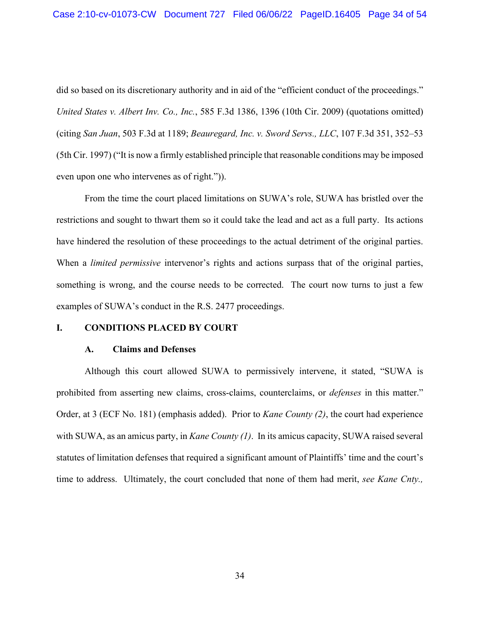did so based on its discretionary authority and in aid of the "efficient conduct of the proceedings." *United States v. Albert Inv. Co., Inc.*, 585 F.3d 1386, 1396 (10th Cir. 2009) (quotations omitted) (citing *San Juan*, 503 F.3d at 1189; *Beauregard, Inc. v. Sword Servs., LLC*, 107 F.3d 351, 352–53 (5th Cir. 1997) ("It is now a firmly established principle that reasonable conditions may be imposed even upon one who intervenes as of right.")).

From the time the court placed limitations on SUWA's role, SUWA has bristled over the restrictions and sought to thwart them so it could take the lead and act as a full party. Its actions have hindered the resolution of these proceedings to the actual detriment of the original parties. When a *limited permissive* intervenor's rights and actions surpass that of the original parties, something is wrong, and the course needs to be corrected. The court now turns to just a few examples of SUWA's conduct in the R.S. 2477 proceedings.

### **I. CONDITIONS PLACED BY COURT**

#### **A. Claims and Defenses**

Although this court allowed SUWA to permissively intervene, it stated, "SUWA is prohibited from asserting new claims, cross-claims, counterclaims, or *defenses* in this matter." Order, at 3 (ECF No. 181) (emphasis added). Prior to *Kane County (2)*, the court had experience with SUWA, as an amicus party, in *Kane County (1)*. In its amicus capacity, SUWA raised several statutes of limitation defenses that required a significant amount of Plaintiffs' time and the court's time to address. Ultimately, the court concluded that none of them had merit, *see Kane Cnty.,*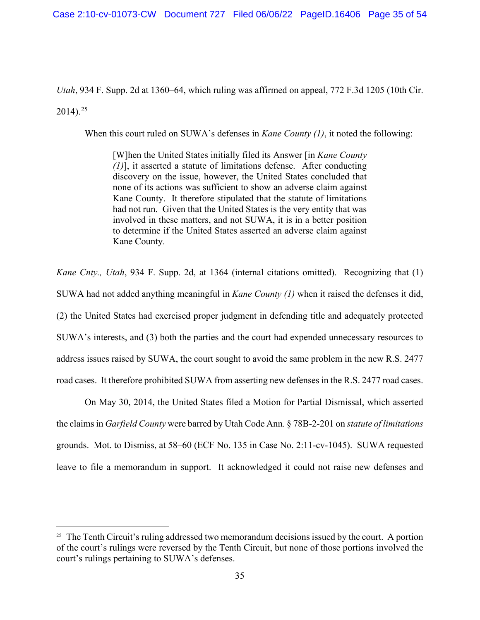*Utah*, 934 F. Supp. 2d at 1360–64, which ruling was affirmed on appeal, 772 F.3d 1205 (10th Cir.

 $2014$ ).<sup>25</sup>

When this court ruled on SUWA's defenses in *Kane County (1)*, it noted the following:

[W]hen the United States initially filed its Answer [in *Kane County (1)*], it asserted a statute of limitations defense. After conducting discovery on the issue, however, the United States concluded that none of its actions was sufficient to show an adverse claim against Kane County. It therefore stipulated that the statute of limitations had not run. Given that the United States is the very entity that was involved in these matters, and not SUWA, it is in a better position to determine if the United States asserted an adverse claim against Kane County.

*Kane Cnty., Utah*, 934 F. Supp. 2d, at 1364 (internal citations omitted). Recognizing that (1) SUWA had not added anything meaningful in *Kane County (1)* when it raised the defenses it did, (2) the United States had exercised proper judgment in defending title and adequately protected SUWA's interests, and (3) both the parties and the court had expended unnecessary resources to address issues raised by SUWA, the court sought to avoid the same problem in the new R.S. 2477 road cases. It therefore prohibited SUWA from asserting new defenses in the R.S. 2477 road cases.

On May 30, 2014, the United States filed a Motion for Partial Dismissal, which asserted the claims in *Garfield County* were barred by Utah Code Ann. § 78B-2-201 on *statute of limitations*  grounds. Mot. to Dismiss, at 58–60 (ECF No. 135 in Case No. 2:11-cv-1045). SUWA requested leave to file a memorandum in support. It acknowledged it could not raise new defenses and

 $25$  The Tenth Circuit's ruling addressed two memorandum decisions issued by the court. A portion of the court's rulings were reversed by the Tenth Circuit, but none of those portions involved the court's rulings pertaining to SUWA's defenses.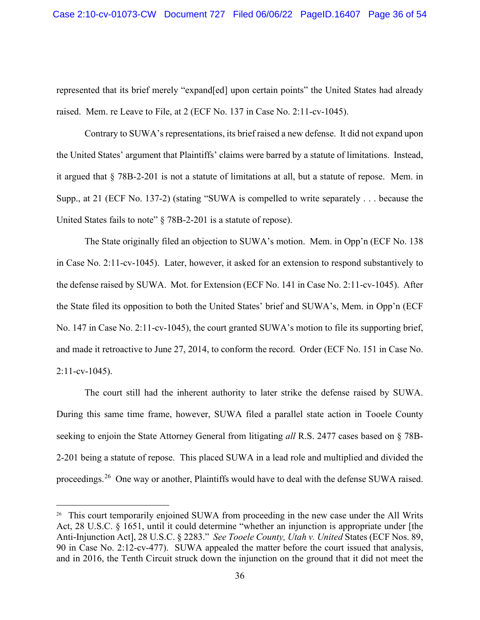represented that its brief merely "expand[ed] upon certain points" the United States had already raised. Mem. re Leave to File, at 2 (ECF No. 137 in Case No. 2:11-cv-1045).

Contrary to SUWA's representations, its brief raised a new defense. It did not expand upon the United States' argument that Plaintiffs' claims were barred by a statute of limitations. Instead, it argued that § 78B-2-201 is not a statute of limitations at all, but a statute of repose. Mem. in Supp., at 21 (ECF No. 137-2) (stating "SUWA is compelled to write separately . . . because the United States fails to note" § 78B-2-201 is a statute of repose).

The State originally filed an objection to SUWA's motion. Mem. in Opp'n (ECF No. 138 in Case No. 2:11-cv-1045). Later, however, it asked for an extension to respond substantively to the defense raised by SUWA. Mot. for Extension (ECF No. 141 in Case No. 2:11-cv-1045). After the State filed its opposition to both the United States' brief and SUWA's, Mem. in Opp'n (ECF No. 147 in Case No. 2:11-cv-1045), the court granted SUWA's motion to file its supporting brief, and made it retroactive to June 27, 2014, to conform the record. Order (ECF No. 151 in Case No.  $2:11$ -cv-1045).

The court still had the inherent authority to later strike the defense raised by SUWA. During this same time frame, however, SUWA filed a parallel state action in Tooele County seeking to enjoin the State Attorney General from litigating *all* R.S. 2477 cases based on § 78B-2-201 being a statute of repose. This placed SUWA in a lead role and multiplied and divided the proceedings.<sup>26</sup> One way or another, Plaintiffs would have to deal with the defense SUWA raised.

<sup>&</sup>lt;sup>26</sup> This court temporarily enjoined SUWA from proceeding in the new case under the All Writs Act, 28 U.S.C. § 1651, until it could determine "whether an injunction is appropriate under [the Anti-Injunction Act], 28 U.S.C. § 2283." *See Tooele County, Utah v. United* States (ECF Nos. 89, 90 in Case No. 2:12-cv-477). SUWA appealed the matter before the court issued that analysis, and in 2016, the Tenth Circuit struck down the injunction on the ground that it did not meet the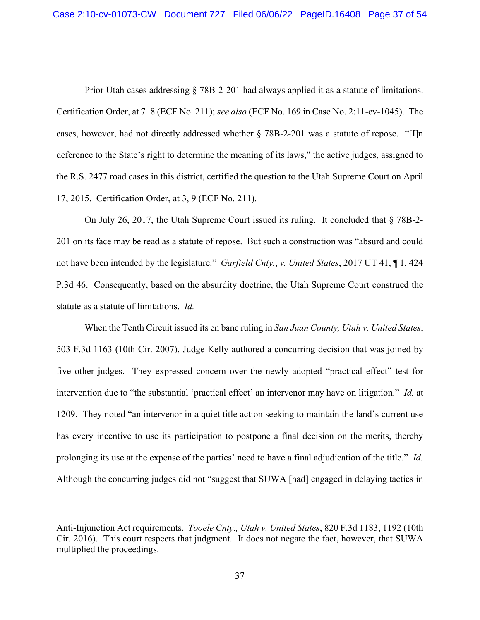Prior Utah cases addressing § 78B-2-201 had always applied it as a statute of limitations. Certification Order, at 7–8 (ECF No. 211); *see also* (ECF No. 169 in Case No. 2:11-cv-1045). The cases, however, had not directly addressed whether § 78B-2-201 was a statute of repose. "[I]n deference to the State's right to determine the meaning of its laws," the active judges, assigned to the R.S. 2477 road cases in this district, certified the question to the Utah Supreme Court on April 17, 2015. Certification Order, at 3, 9 (ECF No. 211).

On July 26, 2017, the Utah Supreme Court issued its ruling. It concluded that § 78B-2- 201 on its face may be read as a statute of repose. But such a construction was "absurd and could not have been intended by the legislature." *Garfield Cnty.*, *v. United States*, 2017 UT 41, ¶ 1, 424 P.3d 46. Consequently, based on the absurdity doctrine, the Utah Supreme Court construed the statute as a statute of limitations. *Id.*

When the Tenth Circuit issued its en banc ruling in *San Juan County, Utah v. United States*, 503 F.3d 1163 (10th Cir. 2007), Judge Kelly authored a concurring decision that was joined by five other judges. They expressed concern over the newly adopted "practical effect" test for intervention due to "the substantial 'practical effect' an intervenor may have on litigation." *Id.* at 1209. They noted "an intervenor in a quiet title action seeking to maintain the land's current use has every incentive to use its participation to postpone a final decision on the merits, thereby prolonging its use at the expense of the parties' need to have a final adjudication of the title." *Id.* Although the concurring judges did not "suggest that SUWA [had] engaged in delaying tactics in

Anti-Injunction Act requirements. *Tooele Cnty., Utah v. United States*, 820 F.3d 1183, 1192 (10th Cir. 2016). This court respects that judgment. It does not negate the fact, however, that SUWA multiplied the proceedings.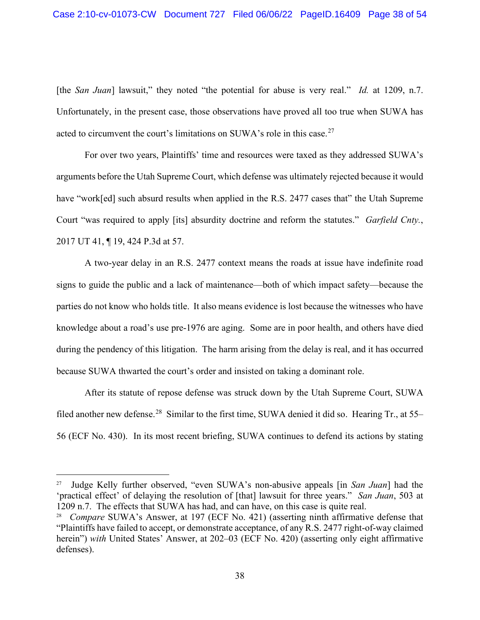[the *San Juan*] lawsuit," they noted "the potential for abuse is very real." *Id.* at 1209, n.7. Unfortunately, in the present case, those observations have proved all too true when SUWA has acted to circumvent the court's limitations on SUWA's role in this case.<sup>27</sup>

For over two years, Plaintiffs' time and resources were taxed as they addressed SUWA's arguments before the Utah Supreme Court, which defense was ultimately rejected because it would have "work[ed] such absurd results when applied in the R.S. 2477 cases that" the Utah Supreme Court "was required to apply [its] absurdity doctrine and reform the statutes." *Garfield Cnty.*, 2017 UT 41, ¶ 19, 424 P.3d at 57.

A two-year delay in an R.S. 2477 context means the roads at issue have indefinite road signs to guide the public and a lack of maintenance—both of which impact safety—because the parties do not know who holds title. It also means evidence is lost because the witnesses who have knowledge about a road's use pre-1976 are aging. Some are in poor health, and others have died during the pendency of this litigation. The harm arising from the delay is real, and it has occurred because SUWA thwarted the court's order and insisted on taking a dominant role.

After its statute of repose defense was struck down by the Utah Supreme Court, SUWA filed another new defense.<sup>28</sup> Similar to the first time, SUWA denied it did so. Hearing Tr., at 55– 56 (ECF No. 430). In its most recent briefing, SUWA continues to defend its actions by stating

<sup>27</sup> Judge Kelly further observed, "even SUWA's non-abusive appeals [in *San Juan*] had the 'practical effect' of delaying the resolution of [that] lawsuit for three years." *San Juan*, 503 at 1209 n.7. The effects that SUWA has had, and can have, on this case is quite real.

<sup>28</sup> *Compare* SUWA's Answer, at 197 (ECF No. 421) (asserting ninth affirmative defense that "Plaintiffs have failed to accept, or demonstrate acceptance, of any R.S. 2477 right-of-way claimed herein") *with* United States' Answer, at 202–03 (ECF No. 420) (asserting only eight affirmative defenses).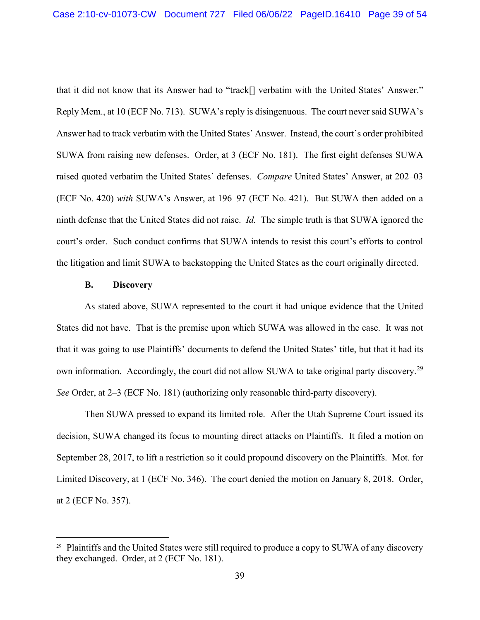that it did not know that its Answer had to "track[] verbatim with the United States' Answer." Reply Mem., at 10 (ECF No. 713). SUWA's reply is disingenuous. The court never said SUWA's Answer had to track verbatim with the United States' Answer. Instead, the court's order prohibited SUWA from raising new defenses. Order, at 3 (ECF No. 181). The first eight defenses SUWA raised quoted verbatim the United States' defenses. *Compare* United States' Answer, at 202–03 (ECF No. 420) *with* SUWA's Answer, at 196–97 (ECF No. 421). But SUWA then added on a ninth defense that the United States did not raise. *Id.* The simple truth is that SUWA ignored the court's order. Such conduct confirms that SUWA intends to resist this court's efforts to control the litigation and limit SUWA to backstopping the United States as the court originally directed.

### **B. Discovery**

As stated above, SUWA represented to the court it had unique evidence that the United States did not have. That is the premise upon which SUWA was allowed in the case. It was not that it was going to use Plaintiffs' documents to defend the United States' title, but that it had its own information. Accordingly, the court did not allow SUWA to take original party discovery.<sup>29</sup> *See* Order, at 2–3 (ECF No. 181) (authorizing only reasonable third-party discovery).

Then SUWA pressed to expand its limited role. After the Utah Supreme Court issued its decision, SUWA changed its focus to mounting direct attacks on Plaintiffs. It filed a motion on September 28, 2017, to lift a restriction so it could propound discovery on the Plaintiffs. Mot. for Limited Discovery, at 1 (ECF No. 346). The court denied the motion on January 8, 2018. Order, at 2 (ECF No. 357).

<sup>&</sup>lt;sup>29</sup> Plaintiffs and the United States were still required to produce a copy to SUWA of any discovery they exchanged. Order, at 2 (ECF No. 181).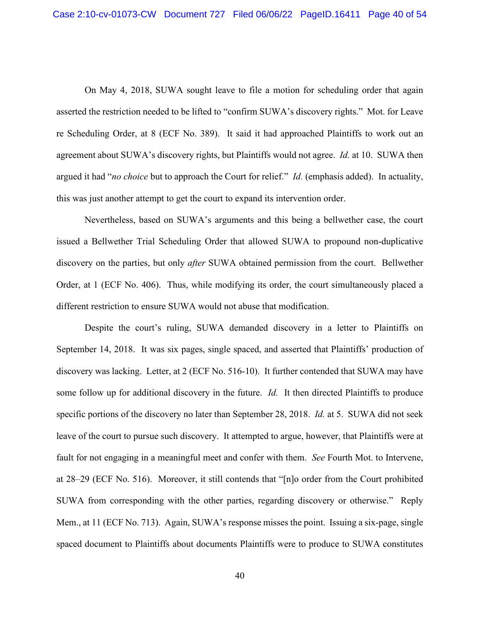On May 4, 2018, SUWA sought leave to file a motion for scheduling order that again asserted the restriction needed to be lifted to "confirm SUWA's discovery rights." Mot. for Leave re Scheduling Order, at 8 (ECF No. 389). It said it had approached Plaintiffs to work out an agreement about SUWA's discovery rights, but Plaintiffs would not agree. *Id.* at 10. SUWA then argued it had "*no choice* but to approach the Court for relief." *Id.* (emphasis added). In actuality, this was just another attempt to get the court to expand its intervention order.

Nevertheless, based on SUWA's arguments and this being a bellwether case, the court issued a Bellwether Trial Scheduling Order that allowed SUWA to propound non-duplicative discovery on the parties, but only *after* SUWA obtained permission from the court. Bellwether Order, at 1 (ECF No. 406). Thus, while modifying its order, the court simultaneously placed a different restriction to ensure SUWA would not abuse that modification.

Despite the court's ruling, SUWA demanded discovery in a letter to Plaintiffs on September 14, 2018. It was six pages, single spaced, and asserted that Plaintiffs' production of discovery was lacking. Letter, at 2 (ECF No. 516-10). It further contended that SUWA may have some follow up for additional discovery in the future. *Id.* It then directed Plaintiffs to produce specific portions of the discovery no later than September 28, 2018. *Id.* at 5. SUWA did not seek leave of the court to pursue such discovery. It attempted to argue, however, that Plaintiffs were at fault for not engaging in a meaningful meet and confer with them. *See* Fourth Mot. to Intervene, at 28–29 (ECF No. 516). Moreover, it still contends that "[n]o order from the Court prohibited SUWA from corresponding with the other parties, regarding discovery or otherwise." Reply Mem., at 11 (ECF No. 713). Again, SUWA's response misses the point. Issuing a six-page, single spaced document to Plaintiffs about documents Plaintiffs were to produce to SUWA constitutes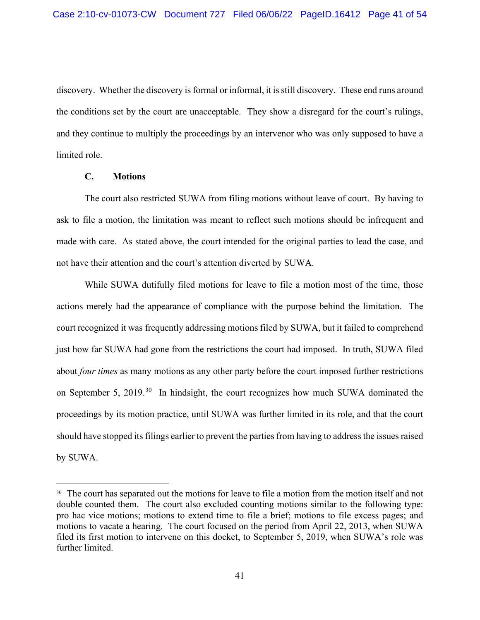discovery. Whether the discovery is formal or informal, it is still discovery. These end runs around the conditions set by the court are unacceptable. They show a disregard for the court's rulings, and they continue to multiply the proceedings by an intervenor who was only supposed to have a limited role.

### **C. Motions**

The court also restricted SUWA from filing motions without leave of court. By having to ask to file a motion, the limitation was meant to reflect such motions should be infrequent and made with care. As stated above, the court intended for the original parties to lead the case, and not have their attention and the court's attention diverted by SUWA.

While SUWA dutifully filed motions for leave to file a motion most of the time, those actions merely had the appearance of compliance with the purpose behind the limitation. The court recognized it was frequently addressing motions filed by SUWA, but it failed to comprehend just how far SUWA had gone from the restrictions the court had imposed. In truth, SUWA filed about *four times* as many motions as any other party before the court imposed further restrictions on September 5, 2019.<sup>30</sup> In hindsight, the court recognizes how much SUWA dominated the proceedings by its motion practice, until SUWA was further limited in its role, and that the court should have stopped its filings earlier to prevent the parties from having to address the issues raised by SUWA.

<sup>&</sup>lt;sup>30</sup> The court has separated out the motions for leave to file a motion from the motion itself and not double counted them. The court also excluded counting motions similar to the following type: pro hac vice motions; motions to extend time to file a brief; motions to file excess pages; and motions to vacate a hearing. The court focused on the period from April 22, 2013, when SUWA filed its first motion to intervene on this docket, to September 5, 2019, when SUWA's role was further limited.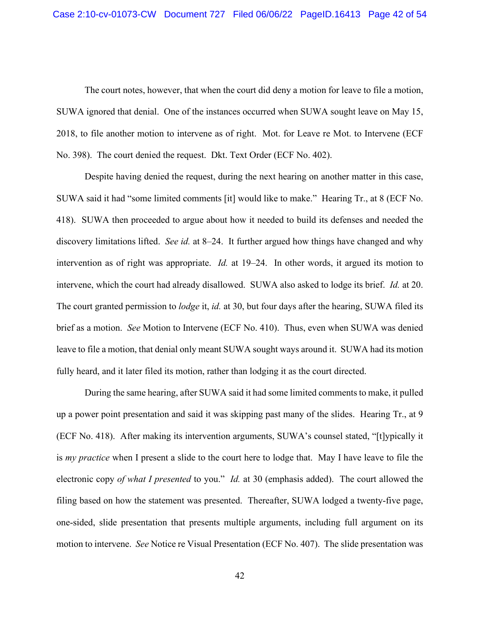The court notes, however, that when the court did deny a motion for leave to file a motion, SUWA ignored that denial. One of the instances occurred when SUWA sought leave on May 15, 2018, to file another motion to intervene as of right. Mot. for Leave re Mot. to Intervene (ECF No. 398). The court denied the request. Dkt. Text Order (ECF No. 402).

Despite having denied the request, during the next hearing on another matter in this case, SUWA said it had "some limited comments [it] would like to make." Hearing Tr., at 8 (ECF No. 418). SUWA then proceeded to argue about how it needed to build its defenses and needed the discovery limitations lifted. *See id.* at 8–24. It further argued how things have changed and why intervention as of right was appropriate. *Id.* at 19–24. In other words, it argued its motion to intervene, which the court had already disallowed. SUWA also asked to lodge its brief. *Id.* at 20. The court granted permission to *lodge* it, *id.* at 30, but four days after the hearing, SUWA filed its brief as a motion. *See* Motion to Intervene (ECF No. 410). Thus, even when SUWA was denied leave to file a motion, that denial only meant SUWA sought ways around it. SUWA had its motion fully heard, and it later filed its motion, rather than lodging it as the court directed.

During the same hearing, after SUWA said it had some limited comments to make, it pulled up a power point presentation and said it was skipping past many of the slides. Hearing Tr., at 9 (ECF No. 418). After making its intervention arguments, SUWA's counsel stated, "[t]ypically it is *my practice* when I present a slide to the court here to lodge that. May I have leave to file the electronic copy *of what I presented* to you." *Id.* at 30 (emphasis added). The court allowed the filing based on how the statement was presented. Thereafter, SUWA lodged a twenty-five page, one-sided, slide presentation that presents multiple arguments, including full argument on its motion to intervene. *See* Notice re Visual Presentation (ECF No. 407). The slide presentation was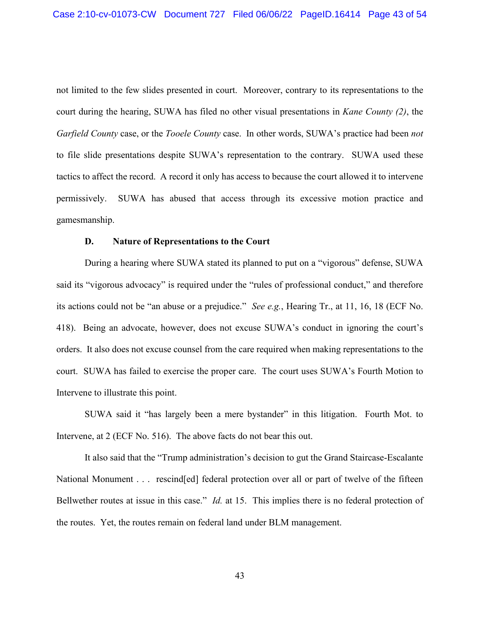not limited to the few slides presented in court. Moreover, contrary to its representations to the court during the hearing, SUWA has filed no other visual presentations in *Kane County (2)*, the *Garfield County* case, or the *Tooele County* case. In other words, SUWA's practice had been *not* to file slide presentations despite SUWA's representation to the contrary. SUWA used these tactics to affect the record. A record it only has access to because the court allowed it to intervene permissively. SUWA has abused that access through its excessive motion practice and gamesmanship.

#### **D. Nature of Representations to the Court**

During a hearing where SUWA stated its planned to put on a "vigorous" defense, SUWA said its "vigorous advocacy" is required under the "rules of professional conduct," and therefore its actions could not be "an abuse or a prejudice." *See e.g.*, Hearing Tr., at 11, 16, 18 (ECF No. 418). Being an advocate, however, does not excuse SUWA's conduct in ignoring the court's orders. It also does not excuse counsel from the care required when making representations to the court. SUWA has failed to exercise the proper care. The court uses SUWA's Fourth Motion to Intervene to illustrate this point.

SUWA said it "has largely been a mere bystander" in this litigation. Fourth Mot. to Intervene, at 2 (ECF No. 516). The above facts do not bear this out.

It also said that the "Trump administration's decision to gut the Grand Staircase-Escalante National Monument . . . rescind [ed] federal protection over all or part of twelve of the fifteen Bellwether routes at issue in this case." *Id.* at 15. This implies there is no federal protection of the routes. Yet, the routes remain on federal land under BLM management.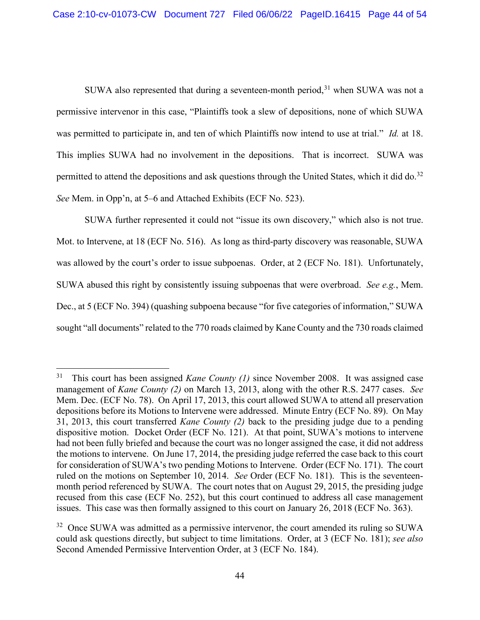SUWA also represented that during a seventeen-month period,  $31$  when SUWA was not a permissive intervenor in this case, "Plaintiffs took a slew of depositions, none of which SUWA was permitted to participate in, and ten of which Plaintiffs now intend to use at trial." *Id.* at 18. This implies SUWA had no involvement in the depositions. That is incorrect. SUWA was permitted to attend the depositions and ask questions through the United States, which it did do.<sup>32</sup> *See* Mem. in Opp'n, at 5–6 and Attached Exhibits (ECF No. 523).

SUWA further represented it could not "issue its own discovery," which also is not true. Mot. to Intervene, at 18 (ECF No. 516). As long as third-party discovery was reasonable, SUWA was allowed by the court's order to issue subpoenas. Order, at 2 (ECF No. 181). Unfortunately, SUWA abused this right by consistently issuing subpoenas that were overbroad. *See e.g.*, Mem. Dec., at 5 (ECF No. 394) (quashing subpoena because "for five categories of information," SUWA sought "all documents" related to the 770 roads claimed by Kane County and the 730 roads claimed

<sup>31</sup> This court has been assigned *Kane County (1)* since November 2008. It was assigned case management of *Kane County (2)* on March 13, 2013, along with the other R.S. 2477 cases. *See* Mem. Dec. (ECF No. 78). On April 17, 2013, this court allowed SUWA to attend all preservation depositions before its Motions to Intervene were addressed. Minute Entry (ECF No. 89). On May 31, 2013, this court transferred *Kane County (2)* back to the presiding judge due to a pending dispositive motion. Docket Order (ECF No. 121). At that point, SUWA's motions to intervene had not been fully briefed and because the court was no longer assigned the case, it did not address the motions to intervene. On June 17, 2014, the presiding judge referred the case back to this court for consideration of SUWA's two pending Motions to Intervene. Order (ECF No. 171). The court ruled on the motions on September 10, 2014. *See* Order (ECF No. 181). This is the seventeenmonth period referenced by SUWA. The court notes that on August 29, 2015, the presiding judge recused from this case (ECF No. 252), but this court continued to address all case management issues. This case was then formally assigned to this court on January 26, 2018 (ECF No. 363).

 $32$  Once SUWA was admitted as a permissive intervenor, the court amended its ruling so SUWA could ask questions directly, but subject to time limitations. Order, at 3 (ECF No. 181); *see also*  Second Amended Permissive Intervention Order, at 3 (ECF No. 184).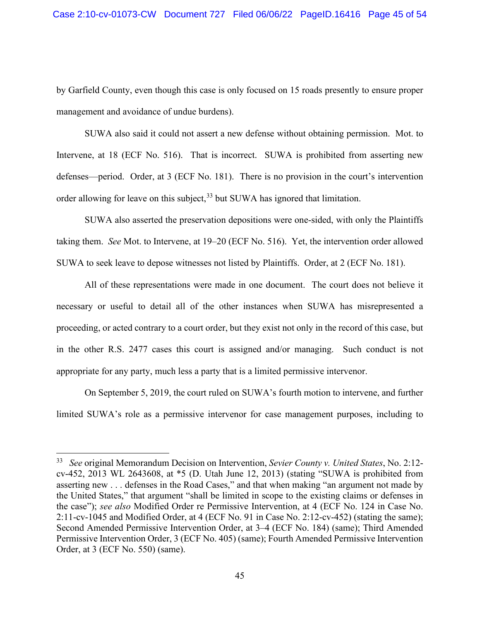by Garfield County, even though this case is only focused on 15 roads presently to ensure proper management and avoidance of undue burdens).

SUWA also said it could not assert a new defense without obtaining permission. Mot. to Intervene, at 18 (ECF No. 516). That is incorrect. SUWA is prohibited from asserting new defenses—period. Order, at 3 (ECF No. 181). There is no provision in the court's intervention order allowing for leave on this subject,<sup>33</sup> but SUWA has ignored that limitation.

SUWA also asserted the preservation depositions were one-sided, with only the Plaintiffs taking them. *See* Mot. to Intervene, at 19–20 (ECF No. 516). Yet, the intervention order allowed SUWA to seek leave to depose witnesses not listed by Plaintiffs. Order, at 2 (ECF No. 181).

All of these representations were made in one document. The court does not believe it necessary or useful to detail all of the other instances when SUWA has misrepresented a proceeding, or acted contrary to a court order, but they exist not only in the record of this case, but in the other R.S. 2477 cases this court is assigned and/or managing. Such conduct is not appropriate for any party, much less a party that is a limited permissive intervenor.

On September 5, 2019, the court ruled on SUWA's fourth motion to intervene, and further limited SUWA's role as a permissive intervenor for case management purposes, including to

<sup>33</sup> *See* original Memorandum Decision on Intervention, *Sevier County v. United States*, No. 2:12 cv-452, 2013 WL 2643608, at \*5 (D. Utah June 12, 2013) (stating "SUWA is prohibited from asserting new . . . defenses in the Road Cases," and that when making "an argument not made by the United States," that argument "shall be limited in scope to the existing claims or defenses in the case"); *see also* Modified Order re Permissive Intervention, at 4 (ECF No. 124 in Case No. 2:11-cv-1045 and Modified Order, at 4 (ECF No. 91 in Case No. 2:12-cv-452) (stating the same); Second Amended Permissive Intervention Order, at 3–4 (ECF No. 184) (same); Third Amended Permissive Intervention Order, 3 (ECF No. 405) (same); Fourth Amended Permissive Intervention Order, at 3 (ECF No. 550) (same).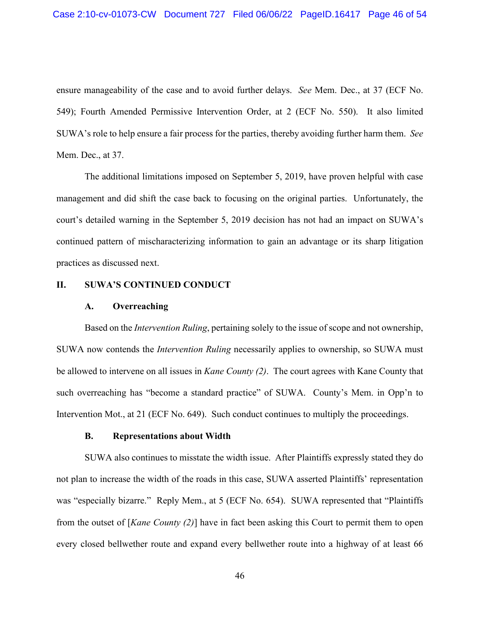ensure manageability of the case and to avoid further delays. *See* Mem. Dec., at 37 (ECF No. 549); Fourth Amended Permissive Intervention Order, at 2 (ECF No. 550). It also limited SUWA's role to help ensure a fair process for the parties, thereby avoiding further harm them. *See* Mem. Dec., at 37.

The additional limitations imposed on September 5, 2019, have proven helpful with case management and did shift the case back to focusing on the original parties. Unfortunately, the court's detailed warning in the September 5, 2019 decision has not had an impact on SUWA's continued pattern of mischaracterizing information to gain an advantage or its sharp litigation practices as discussed next.

### **II. SUWA'S CONTINUED CONDUCT**

#### **A. Overreaching**

Based on the *Intervention Ruling*, pertaining solely to the issue of scope and not ownership, SUWA now contends the *Intervention Ruling* necessarily applies to ownership, so SUWA must be allowed to intervene on all issues in *Kane County (2)*. The court agrees with Kane County that such overreaching has "become a standard practice" of SUWA. County's Mem. in Opp'n to Intervention Mot., at 21 (ECF No. 649). Such conduct continues to multiply the proceedings.

#### **B. Representations about Width**

SUWA also continues to misstate the width issue. After Plaintiffs expressly stated they do not plan to increase the width of the roads in this case, SUWA asserted Plaintiffs' representation was "especially bizarre." Reply Mem., at 5 (ECF No. 654). SUWA represented that "Plaintiffs from the outset of [*Kane County (2)*] have in fact been asking this Court to permit them to open every closed bellwether route and expand every bellwether route into a highway of at least 66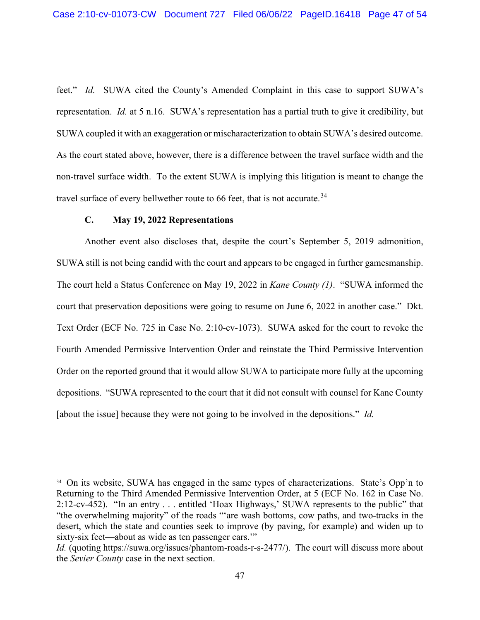feet." *Id.* SUWA cited the County's Amended Complaint in this case to support SUWA's representation. *Id.* at 5 n.16. SUWA's representation has a partial truth to give it credibility, but SUWA coupled it with an exaggeration or mischaracterization to obtain SUWA's desired outcome. As the court stated above, however, there is a difference between the travel surface width and the non-travel surface width. To the extent SUWA is implying this litigation is meant to change the travel surface of every bellwether route to 66 feet, that is not accurate.<sup>34</sup>

## **C. May 19, 2022 Representations**

Another event also discloses that, despite the court's September 5, 2019 admonition, SUWA still is not being candid with the court and appears to be engaged in further gamesmanship. The court held a Status Conference on May 19, 2022 in *Kane County (1)*. "SUWA informed the court that preservation depositions were going to resume on June 6, 2022 in another case." Dkt. Text Order (ECF No. 725 in Case No. 2:10-cv-1073). SUWA asked for the court to revoke the Fourth Amended Permissive Intervention Order and reinstate the Third Permissive Intervention Order on the reported ground that it would allow SUWA to participate more fully at the upcoming depositions. "SUWA represented to the court that it did not consult with counsel for Kane County [about the issue] because they were not going to be involved in the depositions." *Id.*

<sup>&</sup>lt;sup>34</sup> On its website, SUWA has engaged in the same types of characterizations. State's Opp'n to Returning to the Third Amended Permissive Intervention Order, at 5 (ECF No. 162 in Case No. 2:12-cv-452). "In an entry . . . entitled 'Hoax Highways,' SUWA represents to the public" that "the overwhelming majority" of the roads "'are wash bottoms, cow paths, and two-tracks in the desert, which the state and counties seek to improve (by paving, for example) and widen up to sixty-six feet—about as wide as ten passenger cars.'"

*Id.* (quoting https://suwa.org/issues/phantom-roads-r-s-2477/). The court will discuss more about the *Sevier County* case in the next section.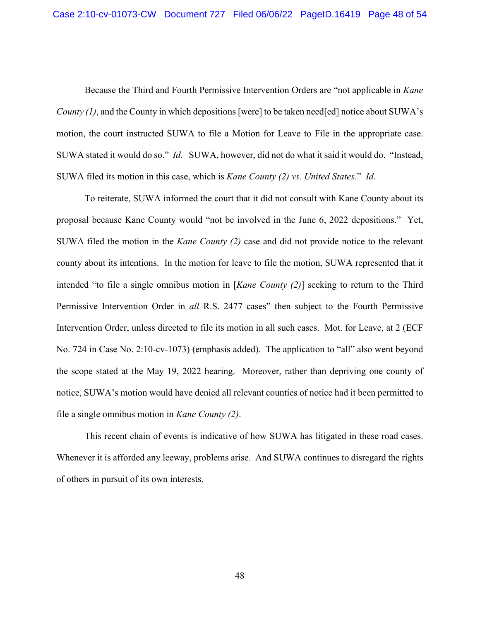Because the Third and Fourth Permissive Intervention Orders are "not applicable in *Kane County (1)*, and the County in which depositions [were] to be taken need[ed] notice about SUWA's motion, the court instructed SUWA to file a Motion for Leave to File in the appropriate case. SUWA stated it would do so." *Id.* SUWA, however, did not do what it said it would do. "Instead, SUWA filed its motion in this case, which is *Kane County (2) vs. United States*." *Id.*

To reiterate, SUWA informed the court that it did not consult with Kane County about its proposal because Kane County would "not be involved in the June 6, 2022 depositions." Yet, SUWA filed the motion in the *Kane County (2)* case and did not provide notice to the relevant county about its intentions. In the motion for leave to file the motion, SUWA represented that it intended "to file a single omnibus motion in [*Kane County (2)*] seeking to return to the Third Permissive Intervention Order in *all* R.S. 2477 cases" then subject to the Fourth Permissive Intervention Order, unless directed to file its motion in all such cases. Mot. for Leave, at 2 (ECF No. 724 in Case No. 2:10-cv-1073) (emphasis added). The application to "all" also went beyond the scope stated at the May 19, 2022 hearing. Moreover, rather than depriving one county of notice, SUWA's motion would have denied all relevant counties of notice had it been permitted to file a single omnibus motion in *Kane County (2)*.

This recent chain of events is indicative of how SUWA has litigated in these road cases. Whenever it is afforded any leeway, problems arise. And SUWA continues to disregard the rights of others in pursuit of its own interests.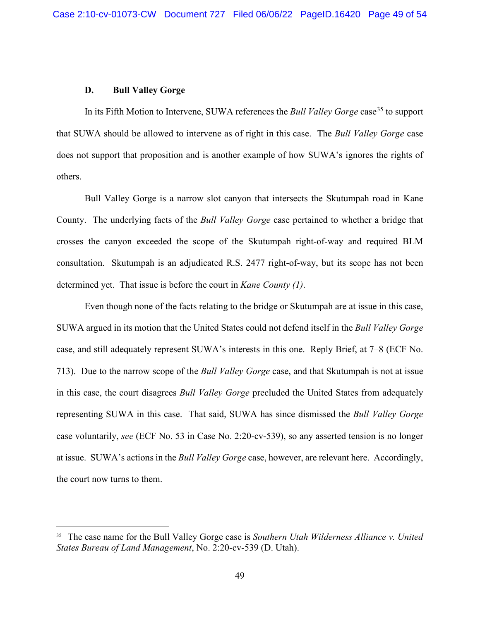## **D. Bull Valley Gorge**

In its Fifth Motion to Intervene, SUWA references the *Bull Valley Gorge* case<sup>35</sup> to support that SUWA should be allowed to intervene as of right in this case. The *Bull Valley Gorge* case does not support that proposition and is another example of how SUWA's ignores the rights of others.

Bull Valley Gorge is a narrow slot canyon that intersects the Skutumpah road in Kane County. The underlying facts of the *Bull Valley Gorge* case pertained to whether a bridge that crosses the canyon exceeded the scope of the Skutumpah right-of-way and required BLM consultation. Skutumpah is an adjudicated R.S. 2477 right-of-way, but its scope has not been determined yet. That issue is before the court in *Kane County (1)*.

Even though none of the facts relating to the bridge or Skutumpah are at issue in this case, SUWA argued in its motion that the United States could not defend itself in the *Bull Valley Gorge* case, and still adequately represent SUWA's interests in this one. Reply Brief, at 7–8 (ECF No. 713). Due to the narrow scope of the *Bull Valley Gorge* case, and that Skutumpah is not at issue in this case, the court disagrees *Bull Valley Gorge* precluded the United States from adequately representing SUWA in this case. That said, SUWA has since dismissed the *Bull Valley Gorge* case voluntarily, *see* (ECF No. 53 in Case No. 2:20-cv-539), so any asserted tension is no longer at issue. SUWA's actions in the *Bull Valley Gorge* case, however, are relevant here. Accordingly, the court now turns to them.

<sup>35</sup> The case name for the Bull Valley Gorge case is *Southern Utah Wilderness Alliance v. United States Bureau of Land Management*, No. 2:20-cv-539 (D. Utah).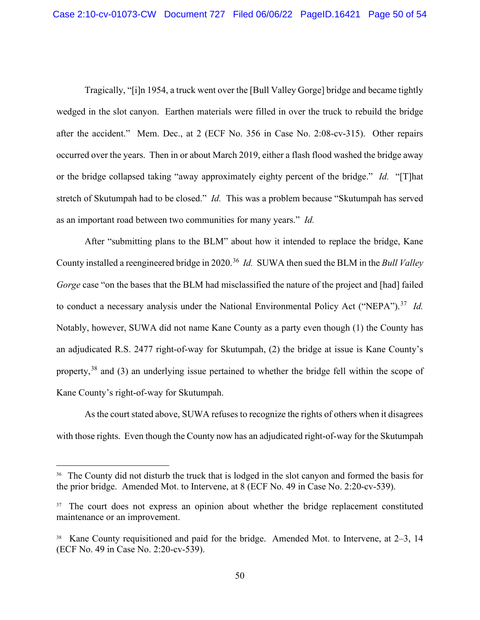Tragically, "[i]n 1954, a truck went over the [Bull Valley Gorge] bridge and became tightly wedged in the slot canyon. Earthen materials were filled in over the truck to rebuild the bridge after the accident." Mem. Dec., at 2 (ECF No. 356 in Case No. 2:08-cv-315). Other repairs occurred over the years. Then in or about March 2019, either a flash flood washed the bridge away or the bridge collapsed taking "away approximately eighty percent of the bridge." *Id.* "[T]hat stretch of Skutumpah had to be closed." *Id.* This was a problem because "Skutumpah has served as an important road between two communities for many years." *Id.*

After "submitting plans to the BLM" about how it intended to replace the bridge, Kane County installed a reengineered bridge in 2020. 36 *Id.* SUWA then sued the BLM in the *Bull Valley Gorge* case "on the bases that the BLM had misclassified the nature of the project and [had] failed to conduct a necessary analysis under the National Environmental Policy Act ("NEPA").<sup>37</sup> *Id.* Notably, however, SUWA did not name Kane County as a party even though (1) the County has an adjudicated R.S. 2477 right-of-way for Skutumpah, (2) the bridge at issue is Kane County's property,<sup>38</sup> and (3) an underlying issue pertained to whether the bridge fell within the scope of Kane County's right-of-way for Skutumpah.

As the court stated above, SUWA refuses to recognize the rights of others when it disagrees with those rights. Even though the County now has an adjudicated right-of-way for the Skutumpah

<sup>&</sup>lt;sup>36</sup> The County did not disturb the truck that is lodged in the slot canyon and formed the basis for the prior bridge. Amended Mot. to Intervene, at 8 (ECF No. 49 in Case No. 2:20-cv-539).

<sup>&</sup>lt;sup>37</sup> The court does not express an opinion about whether the bridge replacement constituted maintenance or an improvement.

<sup>38</sup> Kane County requisitioned and paid for the bridge. Amended Mot. to Intervene, at 2–3, 14 (ECF No. 49 in Case No. 2:20-cv-539).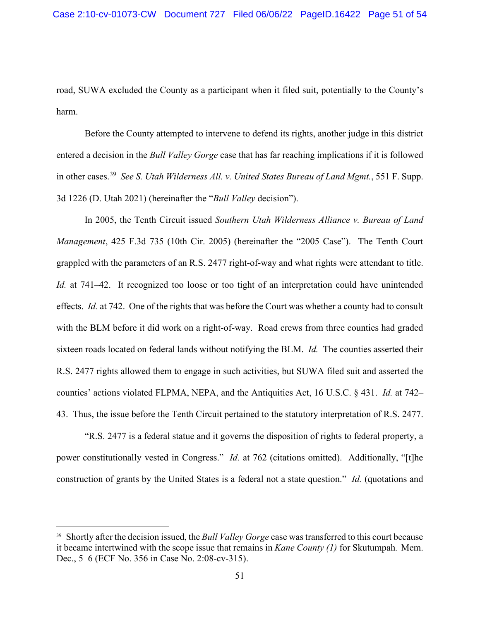road, SUWA excluded the County as a participant when it filed suit, potentially to the County's harm.

Before the County attempted to intervene to defend its rights, another judge in this district entered a decision in the *Bull Valley Gorge* case that has far reaching implications if it is followed in other cases.39 *See S. Utah Wilderness All. v. United States Bureau of Land Mgmt.*, 551 F. Supp. 3d 1226 (D. Utah 2021) (hereinafter the "*Bull Valley* decision").

In 2005, the Tenth Circuit issued *Southern Utah Wilderness Alliance v. Bureau of Land Management*, 425 F.3d 735 (10th Cir. 2005) (hereinafter the "2005 Case"). The Tenth Court grappled with the parameters of an R.S. 2477 right-of-way and what rights were attendant to title. *Id.* at 741–42. It recognized too loose or too tight of an interpretation could have unintended effects. *Id.* at 742. One of the rights that was before the Court was whether a county had to consult with the BLM before it did work on a right-of-way. Road crews from three counties had graded sixteen roads located on federal lands without notifying the BLM. *Id.* The counties asserted their R.S. 2477 rights allowed them to engage in such activities, but SUWA filed suit and asserted the counties' actions violated FLPMA, NEPA, and the Antiquities Act, 16 U.S.C. § 431. *Id.* at 742– 43. Thus, the issue before the Tenth Circuit pertained to the statutory interpretation of R.S. 2477.

"R.S. 2477 is a federal statue and it governs the disposition of rights to federal property, a power constitutionally vested in Congress." *Id.* at 762 (citations omitted). Additionally, "[t]he construction of grants by the United States is a federal not a state question." *Id.* (quotations and

<sup>39</sup> Shortly after the decision issued, the *Bull Valley Gorge* case was transferred to this court because it became intertwined with the scope issue that remains in *Kane County (1)* for Skutumpah. Mem. Dec., 5–6 (ECF No. 356 in Case No. 2:08-cv-315).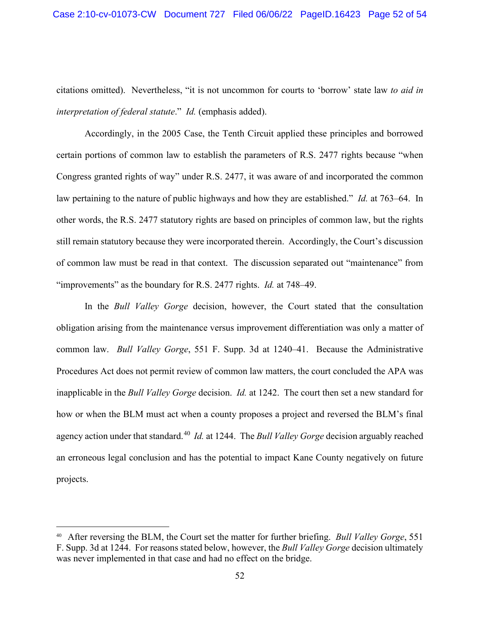citations omitted). Nevertheless, "it is not uncommon for courts to 'borrow' state law *to aid in interpretation of federal statute*." *Id.* (emphasis added).

Accordingly, in the 2005 Case, the Tenth Circuit applied these principles and borrowed certain portions of common law to establish the parameters of R.S. 2477 rights because "when Congress granted rights of way" under R.S. 2477, it was aware of and incorporated the common law pertaining to the nature of public highways and how they are established." *Id.* at 763–64. In other words, the R.S. 2477 statutory rights are based on principles of common law, but the rights still remain statutory because they were incorporated therein. Accordingly, the Court's discussion of common law must be read in that context. The discussion separated out "maintenance" from "improvements" as the boundary for R.S. 2477 rights. *Id.* at 748–49.

In the *Bull Valley Gorge* decision, however, the Court stated that the consultation obligation arising from the maintenance versus improvement differentiation was only a matter of common law. *Bull Valley Gorge*, 551 F. Supp. 3d at 1240–41. Because the Administrative Procedures Act does not permit review of common law matters, the court concluded the APA was inapplicable in the *Bull Valley Gorge* decision. *Id.* at 1242. The court then set a new standard for how or when the BLM must act when a county proposes a project and reversed the BLM's final agency action under that standard. 40 *Id.* at 1244. The *Bull Valley Gorge* decision arguably reached an erroneous legal conclusion and has the potential to impact Kane County negatively on future projects.

<sup>40</sup> After reversing the BLM, the Court set the matter for further briefing. *Bull Valley Gorge*, 551 F. Supp. 3d at 1244. For reasons stated below, however, the *Bull Valley Gorge* decision ultimately was never implemented in that case and had no effect on the bridge.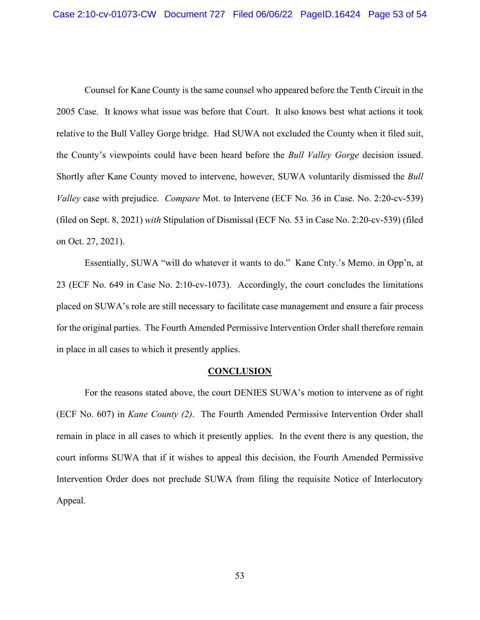Counsel for Kane County is the same counsel who appeared before the Tenth Circuit in the 2005 Case. It knows what issue was before that Court. It also knows best what actions it took relative to the Bull Valley Gorge bridge. Had SUWA not excluded the County when it filed suit, the County's viewpoints could have been heard before the *Bull Valley Gorge* decision issued. Shortly after Kane County moved to intervene, however, SUWA voluntarily dismissed the *Bull Valley* case with prejudice. *Compare* Mot. to Intervene (ECF No. 36 in Case. No. 2:20-cv-539) (filed on Sept. 8, 2021) *with* Stipulation of Dismissal (ECF No. 53 in Case No. 2:20-cv-539) (filed on Oct. 27, 2021).

Essentially, SUWA "will do whatever it wants to do." Kane Cnty.'s Memo. in Opp'n, at 23 (ECF No. 649 in Case No. 2:10-cv-1073). Accordingly, the court concludes the limitations placed on SUWA's role are still necessary to facilitate case management and ensure a fair process for the original parties. The Fourth Amended Permissive Intervention Order shall therefore remain in place in all cases to which it presently applies.

#### **CONCLUSION**

For the reasons stated above, the court DENIES SUWA's motion to intervene as of right (ECF No. 607) in *Kane County (2)*. The Fourth Amended Permissive Intervention Order shall remain in place in all cases to which it presently applies. In the event there is any question, the court informs SUWA that if it wishes to appeal this decision, the Fourth Amended Permissive Intervention Order does not preclude SUWA from filing the requisite Notice of Interlocutory Appeal.